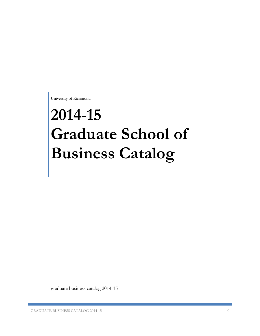University of Richmond

# **2014-15 Graduate School of Business Catalog**

graduate business catalog 2014-15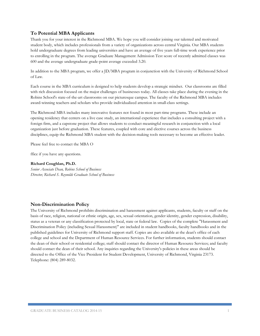# **To Potential MBA Applicants**

Thank you for your interest in the Richmond MBA. We hope you will consider joining our talented and motivated student body, which includes professionals from a variety of organizations across central Virginia. Our MBA students hold undergraduate degrees from leading universities and have an average of five years full-time work experience prior to enrolling in the program. The average Graduate Management Admission Test score of recently admitted classes was 600 and the average undergraduate grade-point average exceeded 3.20.

In addition to the MBA program, we offer a JD/MBA program in conjunction with the University of Richmond School of Law.

Each course in the MBA curriculum is designed to help students develop a strategic mindset. Our classrooms are filled with rich discussion focused on the major challenges of businesses today. All classes take place during the evening in the Robins School's state-of-the-art classrooms on our picturesque campus. The faculty of the Richmond MBA includes award-winning teachers and scholars who provide individualized attention in small-class settings.

The Richmond MBA includes many innovative features not found in most part-time programs. These include an opening residency that centers on a live case study, an international experience that includes a consulting project with a foreign firm, and a capstone project that allows students to conduct meaningful research in conjunction with a local organization just before graduation. These features, coupled with core and elective courses across the business disciplines, equip the Richmond MBA student with the decision-making tools necessary to become an effective leader.

Please feel free to contact the MBA O

ffice if you have any questions.

### **Richard Coughlan, Ph.D.**

*Senior Associate Dean, Robins School of Business Director, Richard S. Reynolds Graduate School of Business*

# **Non-Discrimination Policy**

The University of Richmond prohibits discrimination and harassment against applicants, students, faculty or staff on the basis of race, religion, national or ethnic origin, age, sex, sexual orientation, gender identity, gender expression, disability, status as a veteran or any classification protected by local, state or federal law. Copies of the complete "Harassment and Discrimination Policy (including Sexual Harassment)" are included in student handbooks, faculty handbooks and in the published guidelines for University of Richmond support staff. Copies are also available at the dean's office of each college and school and the Department of Human Resource Services. For further information, students should contact the dean of their school or residential college; staff should contact the director of Human Resource Services; and faculty should contact the dean of their school. Any inquiries regarding the University's policies in these areas should be directed to the Office of the Vice President for Student Development, University of Richmond, Virginia 23173. Telephone: (804) 289-8032.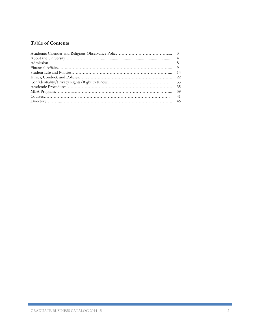# **Table of Contents**

г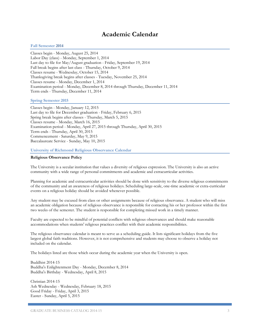# **Academic Calendar**

### **Fall Semester 2014**

Classes begin - Monday, August 25, 2014 Labor Day (class) - Monday, September 1, 2014 Last day to file for May/August graduation - Friday, September 19, 2014 Fall break begins after last class - Thursday, October 9, 2014 Classes resume - Wednesday, October 15, 2014 Thanksgiving break begins after classes - Tuesday, November 25, 2014 Classes resume - Monday, December 1, 2014 Examination period - Monday, December 8, 2014 through Thursday, December 11, 2014 Term ends - Thursday, December 11, 2014

### **Spring Semester 2015**

Classes begin - Monday, January 12, 2015 Last day to file for December graduation - Friday, February 6, 2015 Spring break begins after classes - Thursday, March 5, 2015 Classes resume - Monday, March 16, 2015 Examination period - Monday, April 27, 2015 through Thursday, April 30, 2015 Term ends - Thursday, April 30, 2015 Commencement - Saturday, May 9, 2015 Baccalaureate Service - Sunday, May 10, 2015

### **University of Richmond Religious Observance Calendar**

### **Religious Observance Policy**

The University is a secular institution that values a diversity of religious expression. The University is also an active community with a wide range of personal commitments and academic and extracurricular activities.

Planning for academic and extracurricular activities should be done with sensitivity to the diverse religious commitments of the community and an awareness of religious holidays. Scheduling large-scale, one-time academic or extra-curricular events on a religious holiday should be avoided whenever possible.

Any student may be excused from class or other assignments because of religious observance. A student who will miss an academic obligation because of religious observance is responsible for contacting his or her professor within the first two weeks of the semester. The student is responsible for completing missed work in a timely manner.

Faculty are expected to be mindful of potential conflicts with religious observances and should make reasonable accommodations when students' religious practices conflict with their academic responsibilities.

The religious observance calendar is meant to serve as a scheduling guide. It lists significant holidays from the five largest global faith traditions. However, it is not comprehensive and students may choose to observe a holiday not included on the calendar.

The holidays listed are those which occur during the academic year when the University is open.

Buddhist 2014-15 Buddha's Enlightenment Day - Monday, December 8, 2014 Buddha's Birthday - Wednesday, April 8, 2015

Christian 2014-15 Ash Wednesday - Wednesday, February 18, 2015 Good Friday - Friday, April 3, 2015 Easter - Sunday, April 5, 2015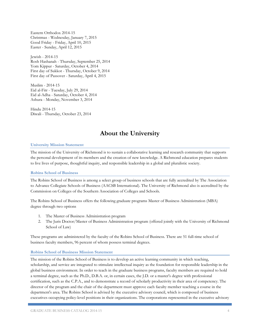Eastern Orthodox 2014-15 Christmas - Wednesday, January 7, 2015 Good Friday - Friday, April 10, 2015 Easter - Sunday, April 12, 2015

Jewish - 2014-15 Rosh Hashanah - Thursday, September 25, 2014 Yom Kippur - Saturday, October 4, 2014 First day of Sukkot - Thursday, October 9, 2014 First day of Passover - Saturday, April 4, 2015

Muslim - 2014-15 Eid al-Fitr - Tuesday, July 29, 2014 Eid al-Adha - Saturday, October 4, 2014 Ashura - Monday, November 3, 2014

Hindu 2014-15 Diwali - Thursday, October 23, 2014

# **About the University**

# **University Mission Statement**

The mission of the University of Richmond is to sustain a collaborative learning and research community that supports the personal development of its members and the creation of new knowledge. A Richmond education prepares students to live lives of purpose, thoughtful inquiry, and responsible leadership in a global and pluralistic society.

### **Robins School of Business**

The Robins School of Business is among a select group of business schools that are fully accredited by The Association to Advance Collegiate Schools of Business (AACSB International). The University of Richmond also is accredited by the Commission on Colleges of the Southern Association of Colleges and Schools.

The Robins School of Business offers the following graduate programs Master of Business Administration (MBA) degree through two options

- 1. The Master of Business Administration program
- 2. The Juris Doctor/Master of Business Administration program (offered jointly with the University of Richmond School of Law)

These programs are administered by the faculty of the Robins School of Business. There are 51 full-time school of business faculty members, 96 percent of whom possess terminal degrees.

### **Robins School of Business Mission Statement**

The mission of the Robins School of Business is to develop an active learning community in which teaching, scholarship, and service are integrated to stimulate intellectual inquiry as the foundation for responsible leadership in the global business environment. In order to teach in the graduate business programs, faculty members are required to hold a terminal degree, such as the Ph.D., D.B.A. or, in certain cases, the J.D. or a master's degree with professional certification, such as the C.P.A., and to demonstrate a record of scholarly productivity in their area of competency. The director of the program and the chair of the department must approve each faculty member teaching a course in the department's area. The Robins School is advised by the executive advisory council, which is composed of business executives occupying policy-level positions in their organizations. The corporations represented in the executive advisory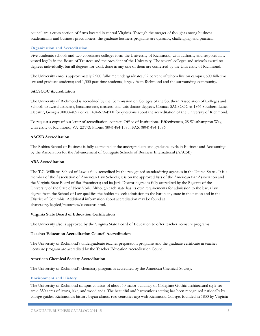council are a cross-section of firms located in central Virginia. Through the merger of thought among business academicians and business practitioners, the graduate business programs are dynamic, challenging, and practical.

# **Organization and Accreditation**

Five academic schools and two coordinate colleges form the University of Richmond, with authority and responsibility vested legally in the Board of Trustees and the president of the University. The several colleges and schools award no degrees individually, but all degrees for work done in any one of them are conferred by the University of Richmond.

The University enrolls approximately 2,900 full-time undergraduates, 92 percent of whom live on campus; 600 full-time law and graduate students; and 1,300 part-time students, largely from Richmond and the surrounding community.

# **SACSCOC Accreditation**

The University of Richmond is accredited by the Commission on Colleges of the Southern Association of Colleges and Schools to award associate, baccalaureate, masters, and juris doctor degrees. Contact SACSCOC at 1866 Southern Lane, Decatur, Georgia 30033-4097 or call 404-679-4500 for questions about the accreditation of the University of Richmond.

To request a copy of our letter of accreditation, contact: Office of Institutional Effectiveness, 28 Westhampton Way, University of Richmond, VA 23173; Phone: (804) 484-1595; FAX (804) 484-1596.

### **AACSB Accreditation**

The Robins School of Business is fully accredited at the undergraduate and graduate levels in Business and Accounting by the Association for the Advancement of Collegiate Schools of Business International (AACSB).

### **ABA Accreditation**

The T.C. Williams School of Law is fully accredited by the recognized standardizing agencies in the United States. It is a member of the Association of American Law Schools; it is on the approved lists of the American Bar Association and the Virginia State Board of Bar Examiners; and its Juris Doctor degree is fully accredited by the Regents of the University of the State of New York. Although each state has its own requirements for admission to the bar, a law degree from the School of Law qualifies the holder to seek admission to the bar in any state in the nation and in the District of Columbia. Additional information about accreditation may be found at abanet.org/legaled/resources/contactus.html.

#### **Virginia State Board of Education Certification**

The University also is approved by the Virginia State Board of Education to offer teacher licensure programs.

### **Teacher Education Accreditation Council Accreditation**

The University of Richmond's undergraduate teacher preparation programs and the graduate certificate in teacher licensure program are accredited by the Teacher Education Accreditation Council.

### **American Chemical Society Accreditation**

The University of Richmond's chemistry program is accredited by the American Chemical Society.

### **Environment and History**

The University of Richmond campus consists of about 50 major buildings of Collegiate Gothic architectural style set amid 350 acres of lawns, lake, and woodlands. The beautiful and harmonious setting has been recognized nationally by college guides. Richmond's history began almost two centuries ago with Richmond College, founded in 1830 by Virginia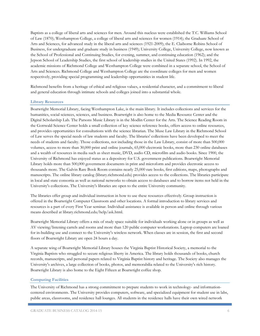Baptists as a college of liberal arts and sciences for men. Around this nucleus were established the T.C. Williams School of Law (1870); Westhampton College, a college of liberal arts and sciences for women (1914); the Graduate School of Arts and Sciences, for advanced study in the liberal arts and sciences (1921-2009); the E. Claiborne Robins School of Business, for undergraduate and graduate study in business (1949); University College, University College, now known as the School of Professional and Continuing Studies, for evening, summer, and continuing education (1962); and the Jepson School of Leadership Studies, the first school of leadership studies in the United States (1992). In 1992, the academic missions of Richmond College and Westhampton College were combined in a separate school, the School of Arts and Sciences. Richmond College and Westhampton College are the coordinate colleges for men and women respectively, providing special programming and leadership opportunities in student life.

Richmond benefits from a heritage of ethical and religious values, a residential character, and a commitment to liberal and general education through intimate schools and colleges joined into a substantial whole.

### **Library Resources**

Boatwright Memorial Library, facing Westhampton Lake, is the main library. It includes collections and services for the humanities, social sciences, sciences, and business. Boatwright is also home to the Media Resource Center and the Digital Scholarship Lab. The Parsons Music Library is in the Modlin Center for the Arts. The Science Reading Room in the Gottwald Science Center holds a small collection of key science reference books, offers access to online resources, and provides opportunities for consultations with the science librarian. The Muse Law Library in the Richmond School of Law serves the special needs of law students and faculty. The libraries' collections have been developed to meet the needs of students and faculty. Those collections, not including those in the Law Library, consist of more than 500,000 volumes, access to more than 30,000 print and online journals, 65,000 electronic books, more than 230 online databases and a wealth of resources in media such as sheet music, DVD, audio CD, microfilm and audio books. Since 1900, the University of Richmond has enjoyed status as a depository for U.S. government publications. Boatwright Memorial Library holds more than 500,000 government documents in print and microform and provides electronic access to thousands more. The Galvin Rare Book Room contains nearly 25,000 rare books, first editions, maps, photographs and manuscripts. The online library catalog (library.richmond.edu) provides access to the collections. The libraries participate in local and state consortia as well as national networks to obtain access to databases and to borrow items not held in the University's collections. The University's libraries are open to the entire University community.

The libraries offer group and individual instruction in how to use these resources effectively. Group instruction is offered in the Boatwright Computer Classroom and other locations. A formal introduction to library services and resources is a part of every First Year seminar. Individual assistance is available in person and online through various means described at library.richmond.edu/help/ask.html.

Boatwright Memorial Library offers a mix of study space suitable for individuals working alone or in groups as well as AV viewing/listening carrels and rooms and more than 120 public computer workstations. Laptop computers are loaned for in-building use and connect to the University's wireless network. When classes are in session, the first and second floors of Boatwright Library are open 24 hours a day.

A separate wing of Boatwright Memorial Library houses the Virginia Baptist Historical Society, a memorial to the Virginia Baptists who struggled to secure religious liberty in America. The library holds thousands of books, church records, manuscripts, and personal papers related to Virginia Baptist history and heritage. The Society also manages the University's archives, a large collection of books, photos, and memorabilia related to the University's rich history. Boatwright Library is also home to the Eight Fifteen at Boatwright coffee shop.

### **Computing Facilities**

The University of Richmond has a strong commitment to prepare students to work in technology- and informationcentered environments. The University provides computers, software, and specialized equipment for student use in labs, public areas, classrooms, and residence hall lounges. All students in the residence halls have their own wired network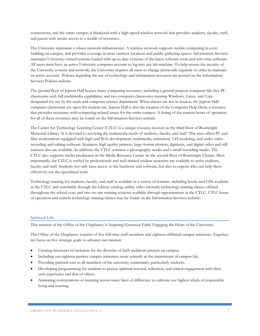connections, and the entire campus is blanketed with a high-speed wireless network that provides students, faculty, staff, and guests with secure access to a wealth of resources.

The University maintains a robust network infrastructure. A wireless network supports mobile computing in every building on campus, and provides coverage in most outdoor locations and public gathering spaces. Information Services maintains University-owned systems loaded with up-to-date versions of the latest software tools and anti-virus software. All users must have an active University computer account to log into any lab machine. To help ensure the security of the University systems and network, the University requires all users to change passwords regularly in order to maintain an active account. Policies regarding the use of technology and information resources are posted on the Information Services Policies website.

The ground floor of Jepson Hall houses many computing resources, including a general purpose computer lab; five PC classrooms with full multimedia capabilities; and two computer classrooms running Windows, Linux, and Unix designated for use by the math and computer science department. When classes are not in session, the Jepson Hall computer classrooms are open for student use. Jepson Hall is also the location of the Computer Help Desk, a resource that provides assistance with computing-related issues for the entire campus. A listing of the current hours of operation for all of these resources may be found on the Information Services website.

The Center for Technology Learning Center (CTLC) is a unique resource located on the third floor of Boatwright Memorial Library. It is devoted to servicing the multimedia needs of students, faculty, and staff. This area offers PC and Mac workstations equipped with high-end Web development, multimedia, animation, 3-D modeling, and audio-video recording and editing software. Scanners, high quality printers, large-format plotters, digitizers, and digital video and still cameras also are available. In addition, the CTLC contains a photography studio and a small recording studio. The CTLC also supports media production in the Media Resource Center on the second floor of Boatwright Library. Most importantly, the CTLC is staffed by professionals and well-trained student assistants are available to assist students, faculty and staff. Students not only have access to the hardware and software, but also to experts who can help them effectively use the specialized tools.

Technology training for students, faculty, and staff is available in a variety of formats, including books and CDs available in the CTLC and searchable through the Library catalog; online video tutorials; technology training classes offered throughout the school year; and one-on-one training sessions available through appointments at the CTLC. CTLC hours of operation and current technology training classes may be found on the Information Services website.

# **Spiritual Life**

This mission of the Office of the Chaplaincy is Inspiring Generous Faith; Engaging the Heart of the University.

The Office of the Chaplaincy consists of five full-time staff members and eighteen affiliated campus ministers. Together, we focus on five strategic goals to advance our mission:

- Creating structures of inclusion for the diversity of faith traditions present on campus.
- Including our eighteen partner campus ministries more robustly in the mainstream of campus life.
- Providing pastoral care to all members of the university community, particularly students.
- Developing programming for students to pursue spiritual renewal, reflection, and critical engagement with their own experience and that of others.
- Animating conversations of meaning across many lines of difference to cultivate our highest ideals of responsible living and learning.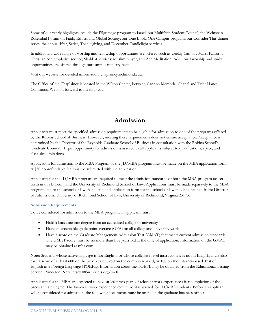Some of our yearly highlights include the Pilgrimage program to Israel; our Multifaith Student Council; the Weinstein-Rosenthal Forum on Faith, Ethics, and Global Society; our One Book, One Campus program; our Consider This dinner series; the annual Iftar, Seder, Thanksgiving, and December Candlelight services.

In addition, a wide range of worship and fellowship opportunities are offered such as weekly Catholic Mass; Kairos, a Christian contemplative service; Shabbat services; Muslim prayer; and Zen Meditation. Additional worship and study opportunities are offered through our campus ministry team.

Visit our website for detailed information: chaplaincy.richmond.edu.

The Office of the Chaplaincy is located in the Wilton Center, between Cannon Memorial Chapel and Tyler Hanes Commons. We look forward to meeting you.

# **Admission**

Applicants must meet the specified admission requirements to be eligible for admission to one of the programs offered by the Robins School of Business. However, meeting these requirements does not ensure acceptance. Acceptance is determined by the Director of the Reynolds Graduate School of Business in consultation with the Robins School's Graduate Council. Equal opportunity for admission is assured to all applicants subject to qualifications, space, and class-size limitations.

Application for admission to the MBA Program or the JD/MBA program must be made on the MBA application form. A \$50 nonrefundable fee must be submitted with the application.

Applicants for the JD/MBA program are required to meet the admission standards of both the MBA program (as set forth in this bulletin) and the University of Richmond School of Law. Applications must be made separately to the MBA program and to the school of law. A bulletin and application form for the school of law may be obtained from: Director of Admissions, University of Richmond School of Law, University of Richmond, Virginia 23173.

# **Admission Requirements**

To be considered for admission to the MBA program, an applicant must:

- Hold a baccalaureate degree from an accredited college or university
- Have an acceptable grade point average (GPA) on all college and university work
- Have a score on the Graduate Management Admission Test (GMAT) that meets current admission standards. The GMAT score must be no more than five years old at the time of application. Information on the GMAT may be obtained at mba.com.

Note: Students whose native language is not English, or whose collegiate-level instruction was not in English, must also earn a score of at least 600 on the paper-based, 250 on the computer-based, or 100 on the Internet-based Test of English as a Foreign Language (TOEFL). Information about the TOEFL may be obtained from the Educational Testing Service, Princeton, New Jersey 08541 or ets.org/toefl.

Applicants for the MBA are expected to have at least two years of relevant work experience after completion of the baccalaureate degree. The two-year work experience requirement is waived for JD/MBA students. Before an applicant will be considered for admission, the following documents must be on file in the graduate business office: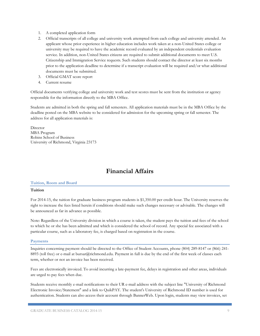# 1. A completed application form

- 2. Official transcripts of all college and university work attempted from each college and university attended. An applicant whose prior experience in higher education includes work taken at a non-United States college or university may be required to have the academic record evaluated by an independent credentials evaluation service. In addition, non-United States citizens are required to submit additional documents to meet U.S. Citizenship and Immigration Service requests. Such students should contact the director at least six months prior to the application deadline to determine if a transcript evaluation will be required and/or what additional documents must be submitted.
- 3. Official GMAT score report
- 4. Current resume

Official documents verifying college and university work and test scores must be sent from the institution or agency responsible for the information directly to the MBA Office.

Students are admitted in both the spring and fall semesters. All application materials must be in the MBA Office by the deadline posted on the MBA website to be considered for admission for the upcoming spring or fall semester. The address for all application materials is:

Director MBA Program Robins School of Business University of Richmond, Virginia 23173

# **Financial Affairs**

### **Tuition, Room and Board**

### **Tuition**

For 2014-15, the tuition for graduate business program students is \$1,350.00 per credit hour. The University reserves the right to increase the fees listed herein if conditions should make such changes necessary or advisable. The changes will be announced as far in advance as possible.

Note: Regardless of the University division in which a course is taken, the student pays the tuition and fees of the school to which he or she has been admitted and which is considered the school of record. Any special fee associated with a particular course, such as a laboratory fee, is charged based on registration in the course.

#### **Payments**

Inquiries concerning payment should be directed to the Office of Student Accounts, phone (804) 289-8147 or (866) 241- 8893 (toll free) or e-mail at bursar@richmond.edu. Payment in full is due by the end of the first week of classes each term, whether or not an invoice has been received.

Fees are electronically invoiced. To avoid incurring a late-payment fee, delays in registration and other areas, individuals are urged to pay fees when due.

Students receive monthly e-mail notifications to their UR e-mail address with the subject line "University of Richmond Electronic Invoice/Statement" and a link to QuikPAY. The student's University of Richmond ID number is used for authentication. Students can also access their account through BannerWeb. Upon login, students may view invoices, set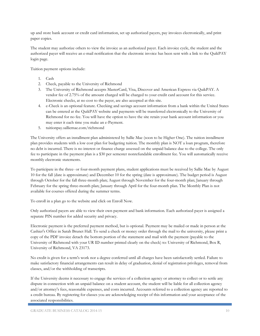up and store bank account or credit card information, set up authorized payers, pay invoices electronically, and print paper copies.

The student may authorize others to view the invoice as an authorized payer. Each invoice cycle, the student and the authorized payer will receive an e-mail notification that the electronic invoice has been sent with a link to the QuikPAY login page.

Tuition payment options include:

- 1. Cash
- 2. Check, payable to the University of Richmond
- 3. The University of Richmond accepts MasterCard, Visa, Discover and American Express via QuikPAY. A vendor fee of 2.75% of the amount charged will be charged to your credit card account for this service. Electronic checks, at no cost to the payer, are also accepted at this site.
- 4. e-Check is an optional feature. Checking and savings account information from a bank within the United States can be entered at the QuikPAY website and payments will be transferred electronically to the University of Richmond for no fee. You will have the option to have the site retain your bank account information or you may enter it each time you make an e-Payment.
- 5. tuitionpay.salliemae.com/richmond

The University offers an installment plan administered by Sallie Mae (soon to be Higher One). The tuition installment plan provides students with a low cost plan for budgeting tuition. The monthly plan is NOT a loan program, therefore no debt is incurred. There is no interest or finance charge assessed on the unpaid balance due to the college. The only fee to participate in the payment plan is a \$30 per semester nonrefundable enrollment fee. You will automatically receive monthly electronic statements.

To participate in the three- or four-month payment plans, student applications must be received by Sallie Mae by August 10 for the fall (date is approximate) and December 10 for the spring (date is approximate). The budget period is August through October for the fall three-month plan; August through November for the four-month plan; January through February for the spring three-month plan; January through April for the four-month plan. The Monthly Plan is not available for courses offered during the summer terms.

To enroll in a plan go to the website and click on Enroll Now.

Only authorized payers are able to view their own payment and bank information. Each authorized payer is assigned a separate PIN number for added security and privacy.

Electronic payment is the preferred payment method, but is optional. Payment may be mailed or made in person at the Cashier's Office in Sarah Brunet Hall. To send a check or money order through the mail to the university, please print a copy of the PDF invoice detach the bottom portion of the statement and mail with the payment (payable to the University of Richmond with your UR ID number printed clearly on the check) to: University of Richmond, Box R, University of Richmond, VA 23173.

No credit is given for a term's work nor a degree conferred until all charges have been satisfactorily settled. Failure to make satisfactory financial arrangements can result in delay of graduation, denial of registration privileges, removal from classes, and/or the withholding of transcripts.

If the University deems it necessary to engage the services of a collection agency or attorney to collect or to settle any dispute in connection with an unpaid balance on a student account, the student will be liable for all collection agency and/or attorney's fees, reasonable expenses, and costs incurred. Accounts referred to a collection agency are reported to a credit bureau. By registering for classes you are acknowledging receipt of this information and your acceptance of the associated responsibilities.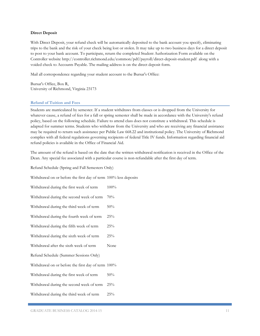### **Direct Deposit**

With Direct Deposit, your refund check will be automatically deposited to the bank account you specify, eliminating trips to the bank and the risk of your check being lost or stolen. It may take up to two business days for a direct deposit to post to your bank account. To participate, return the completed Student Authorization Form available on the Controller website http://controller.richmond.edu/common/pdf/payroll/direct-deposit-student.pdf along with a voided check to Accounts Payable. The mailing address is on the direct deposit form.

Mail all correspondence regarding your student account to the Bursar's Office:

Bursar's Office, Box R, University of Richmond, Virginia 23173

### **Refund of Tuition and Fees**

Students are matriculated by semester. If a student withdraws from classes or is dropped from the University for whatever cause, a refund of fees for a fall or spring semester shall be made in accordance with the University's refund policy, based on the following schedule. Failure to attend class does not constitute a withdrawal. This schedule is adapted for summer terms. Students who withdraw from the University and who are receiving any financial assistance may be required to return such assistance per Public Law 668.22 and institutional policy. The University of Richmond complies with all federal regulations governing recipients of federal Title IV funds. Information regarding financial aid refund policies is available in the Office of Financial Aid.

The amount of the refund is based on the date that the written withdrawal notification is received in the Office of the Dean. Any special fee associated with a particular course is non-refundable after the first day of term.

Refund Schedule (Spring and Fall Semesters Only)

Withdrawal on or before the first day of term 100% less deposits

Withdrawal during the first week of term  $100\%$ 

Withdrawal during the second week of term 70%

Withdrawal during the third week of term  $50\%$ 

Withdrawal during the fourth week of term 25%

Withdrawal during the fifth week of term 25%

Withdrawal during the sixth week of term 25%

Withdrawal after the sixth week of term None

Refund Schedule (Summer Sessions Only)

Withdrawal on or before the first day of term 100%

Withdrawal during the first week of term  $50\%$ 

Withdrawal during the second week of term 25%

Withdrawal during the third week of term  $25\%$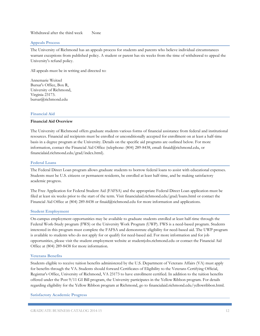# Withdrawal after the third week None

### **Appeals Process**

The University of Richmond has an appeals process for students and parents who believe individual circumstances warrant exceptions from published policy. A student or parent has six weeks from the time of withdrawal to appeal the University's refund policy.

All appeals must be in writing and directed to:

Annemarie Weitzel Bursar's Office, Box R, University of Richmond, Virginia 23173. bursar@richmond.edu

### **Financial Aid**

# **Financial Aid Overview**

The University of Richmond offers graduate students various forms of financial assistance from federal and institutional resources. Financial aid recipients must be enrolled or unconditionally accepted for enrollment on at least a half-time basis in a degree program at the University. Details on the specific aid programs are outlined below. For more information, contact the Financial Aid Office (telephone: (804) 289-8438, email: finaid@richmond.edu, or financialaid.richmond.edu/grad/index.html).

### **Federal Loans**

The Federal Direct Loan program allows graduate students to borrow federal loans to assist with educational expenses. Students must be U.S. citizens or permanent residents, be enrolled at least half-time, and be making satisfactory academic progress.

The Free Application for Federal Student Aid (FAFSA) and the appropriate Federal Direct Loan application must be filed at least six weeks prior to the start of the term. Visit financialaid.richmond.edu/grad/loans.html or contact the Financial Aid Office at (804) 289-8438 or finaid@richmond.edu for more information and applications.

### **Student Employment**

On-campus employment opportunities may be available to graduate students enrolled at least half-time through the Federal Work-Study program (FWS) or the University Work Program (UWP). FWS is a need-based program. Students interested in this program must complete the FAFSA and demonstrate eligibility for need-based aid. The UWP program is available to students who do not apply for or qualify for need-based aid. For more information and for job opportunities, please visit the student employment website at studentjobs.richmond.edu or contact the Financial Aid Office at (804) 289-8438 for more information.

#### **Veterans Benefits**

Students eligible to receive tuition benefits administered by the U.S. Department of Veterans Affairs (VA) must apply for benefits through the VA. Students should forward Certificates of Eligibility to the Veterans Certifying Official, Registrar's Office, University of Richmond, VA 23173 to have enrollment certified. In addition to the tuition benefits offered under the Post 9/11 GI Bill program, the University participates in the Yellow Ribbon program. For details regarding eligibility for the Yellow Ribbon program at Richmond, go to financialaid.richmond.edu/yellowribbon.html.

# **Satisfactory Academic Progress**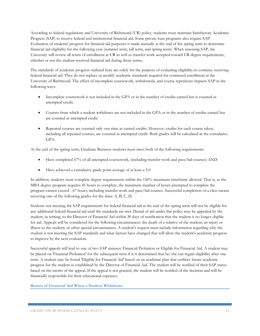According to federal regulations and University of Richmond (UR) policy, students must maintain Satisfactory Academic Progress (SAP) to receive federal and institutional financial aid. Some private loan programs also require SAP. Evaluation of students' progress for financial aid purposes is made annually at the end of the spring term to determine financial aid eligibility for the following year (summer term, fall term, and spring term). When assessing SAP, the University will review all terms of enrollment at UR as well as transfer work accepted toward UR degree requirements, whether or not the student received financial aid during those terms.

The standards of academic progress outlined here are solely for the purpose of evaluating eligibility to continue receiving federal financial aid. They do not replace or modify academic standards required for continued enrollment at the University of Richmond. The effect of incomplete coursework, withdrawals, and course repetitions impacts SAP in the following ways:

- Incomplete coursework is not included in the GPA or in the number of credits earned but is counted as attempted credit.
- Courses from which a student withdraws are not included in the GPA or in the number of credits earned but are counted as attempted credit.
- Repeated courses are counted only one time as earned credits. However, credits for each course taken, including all repeated courses, are counted as attempted credit. Both grades will be calculated in the cumulative GPA.

At the end of the spring term, Graduate Business students must meet both of the following requirements:

- Have completed 67% of all attempted coursework, (including transfer work and pass/fail courses) AND
- Have achieved a cumulative grade point average of at least a 3.0

In addition, students must complete degree requirements within the 150% maximum timeframe allowed. That is, as the MBA degree program requires 45 hours to complete, the maximum number of hours attempted to complete the program cannot exceed - 67 hours, including transfer work and pass/fail courses. Successful completion of a class means receiving one of the following grades for the class: A, B, C, D.

Students not meeting the SAP requirements for federal financial aid at the end of the spring term will not be eligible for any additional federal financial aid until the standards are met. Denial of aid under this policy may be appealed by the student, in writing, to the Director of Financial Aid within 30 days of notification that the student is no longer eligible for aid. Appeals will be considered for the following circumstances: the death of a relative of the student; an injury or illness to the student; or other special circumstances. A student's request must include information regarding why the student is not meeting the SAP standards and what factors have changed that will allow the student's academic progress to improve by the next evaluation.

Successful appeals will lead to one of two SAP statuses: Financial Probation or Eligible for Financial Aid. A student may be placed on 'Financial Probation' for the subsequent term if it is determined that he/she can regain eligibility after one term. A student may be found 'Eligible for Financial Aid' based on an academic plan that outlines future academic progress for the student as established by the Director of Financial Aid. The student will be notified of their SAP status based on the merits of the appeal. If the appeal is not granted, the student will be notified of the decision and will be financially responsible for their educational expenses.

# **Return of Financial Aid When a Student Withdraws**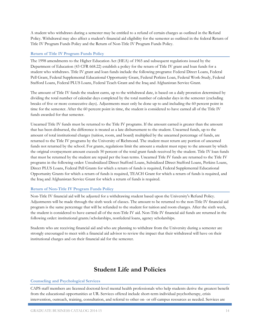A student who withdraws during a semester may be entitled to a refund of certain charges as outlined in the Refund Policy. Withdrawal may also affect a student's financial aid eligibility for the semester as outlined in the federal Return of Title IV Program Funds Policy and the Return of Non-Title IV Program Funds Policy.

# **Return of Title IV Program Funds Policy**

The 1998 amendments to the Higher Education Act (HEA) of 1965 and subsequent regulations issued by the Department of Education (43 CFR 668.22) establish a policy for the return of Title IV grant and loan funds for a student who withdraws. Title IV grant and loan funds include the following programs: Federal Direct Loans, Federal Pell Grant, Federal Supplemental Educational Opportunity Grant, Federal Perkins Loan, Federal Work-Study, Federal Stafford Loans, Federal PLUS Loans, Federal Teach Grant and the Iraq and Afghanistan Service Grant.

The amount of Title IV funds the student earns, up to the withdrawal date, is based on a daily proration determined by dividing the total number of calendar days completed by the total number of calendar days in the semester (excluding breaks of five or more consecutive days). Adjustments must only be done up to and including the 60 percent point in time for the semester. After the 60 percent point in time, the student is considered to have earned all of the Title IV funds awarded for that semester.

Unearned Title IV funds must be returned to the Title IV programs. If the amount earned is greater than the amount that has been disbursed, the difference is treated as a late disbursement to the student. Unearned funds, up to the amount of total institutional charges (tuition, room, and board) multiplied by the unearned percentage of funds, are returned to the Title IV programs by the University of Richmond. The student must return any portion of unearned funds not returned by the school. For grants, regulations limit the amount a student must repay to the amount by which the original overpayment amount exceeds 50 percent of the total grant funds received by the student. Title IV loan funds that must be returned by the student are repaid per the loan terms. Unearned Title IV funds are returned to the Title IV programs in the following order: Unsubsidized Direct Stafford Loans, Subsidized Direct Stafford Loans, Perkins Loans, Direct PLUS Loans, Federal Pell Grants for which a return of funds is required, Federal Supplemental Educational Opportunity Grants for which a return of funds is required, TEACH Grant for which a return of funds is required, and the Iraq and Afghanistan Service Grant for which a return of funds is required.

# **Return of Non-Title IV Program Funds Policy**

Non-Title IV financial aid will be adjusted for a withdrawing student based upon the University's Refund Policy. Adjustments will be made through the sixth week of classes. The amount to be returned to the non-Title IV financial aid program is the same percentage that will be refunded to the student for tuition and room charges. After the sixth week, the student is considered to have earned all of the non-Title IV aid. Non-Title IV financial aid funds are returned in the following order: institutional grants/scholarships, nonfederal loans, agency scholarships.

Students who are receiving financial aid and who are planning to withdraw from the University during a semester are strongly encouraged to meet with a financial aid advisor to review the impact that their withdrawal will have on their institutional charges and on their financial aid for the semester.

# **Student Life and Policies**

### **Counseling and Psychological Services**

CAPS staff members are licensed doctoral-level mental health professionals who help students derive the greatest benefit from the educational opportunities at UR. Services offered include short-term individual psychotherapy, crisis intervention, outreach, training, consultation, and referral to other on- or off-campus resources as needed. Services are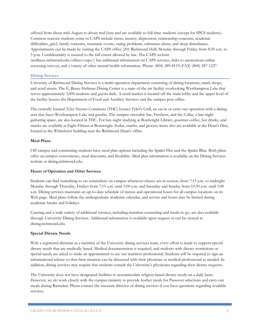offered from about mid-August to about mid-June and are available to full-time students (except for SPCS students). Common reasons students come to CAPS include stress, anxiety, depression, relationship concerns, academic difficulties, grief, family concerns, traumatic events, eating problems, substance abuse, and sleep disturbance. Appointments can be made by visiting the CAPS office (201 Richmond Hall) Monday through Friday from 8:30 a.m. to 5 p.m. Confidentiality is assured to the full extent allowed by law. The CAPS website (wellness.richmond.edu/offices/caps/) has additional information on CAPS services, links to anonymous online screening surveys, and a variety of other mental health information. Phone: (804) 289-8119; FAX: (804) 287-1227.

# **Dining Services**

University of Richmond Dining Services is a multi-operation department consisting of dining locations, snack shops, and retail stores. The E. Bruce Heilman Dining Center is a state-of-the-art facility overlooking Westhampton Lake that serves approximately 3,000 students and guests daily. A retail market is located off the main lobby and the upper level of the facility houses the Department of Food and Auxiliary Services and the campus post office.

The centrally located Tyler Haynes Commons (THC) houses Tyler's Grill, an eat-in or carry-out operation with a dining area that faces Westhampton Lake and gazebo. The campus smoothie bar, Freshens, and the Cellar, a late-night gathering space, are also located in THC. For late-night studying at Boatwright Library, gourmet coffee, hot drinks, and snacks are available at Eight Fifteen at Boatwright. Sodas, snacks, and grocery items also are available at the Dean's Den, located in the Whitehurst building near the Richmond Dean's office.

# **Meal Plans**

Off campus and commuting students have meal plan options including the Spider Flex and the Spider Blue. Both plans offer on-campus convenience, meal discounts, and flexibility. Meal plan information is available on the Dining Services website at dining.richmond.edu.

### **Hours of Operation and Other Services**

Students can find something to eat somewhere on campus whenever classes are in session, from 7:15 a.m. to midnight Monday through Thursday, Fridays from 7:15 a.m. until 1:00 a.m. and Saturday and Sunday from 10:30 a.m. until 1:00 a.m. Dining services maintains an up-to-date schedule of menus and operational hours for all campus locations on its Web page. Meal plans follow the undergraduate academic calendar, and service and hours may be limited during academic breaks and holidays.

Catering and a wide variety of additional services, including nutrition counseling and meals-to-go, are also available through University Dining Services. Additional information is available upon request or can be viewed at dining.richmond.edu.

### **Special Dietary Needs**

With a registered dietician as a member of the University dining services team, every effort is made to support special dietary needs that are medically based. Medical documentation is required, and students with dietary restrictions or special needs are asked to make an appointment to see our nutrition professional. Students will be required to sign an informational release so that their situation can be discussed with their physician or medical professional as needed. In addition, dining services may require that students consult the University's physicians regarding their dietary requests.

The University does not have designated facilities to accommodate religion-based dietary needs on a daily basis. However, we do work closely with the campus ministry to provide kosher meals for Passover selections and carry-out meals during Ramadan. Please contact the associate director of dining services if you have questions regarding available services.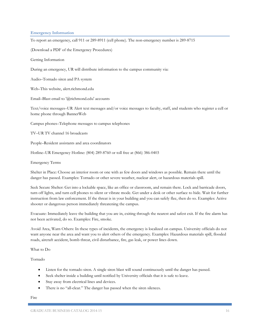### **Emergency Information**

To report an emergency, call 911 or 289-8911 (cell phone). The non-emergency number is 289-8715

(Download a PDF of the Emergency Procedures)

Getting Information

During an emergency, UR will distribute information to the campus community via:

Audio–Tornado siren and PA system

Web–This website, alert.richmond.edu

Email–Blast email to '@richmond.edu' accounts

Text/voice messages–UR Alert text messages and/or voice messages to faculty, staff, and students who register a cell or home phone through BannerWeb

Campus phones–Telephone messages to campus telephones

TV–UR TV channel 16 broadcasts

People–Resident assistants and area coordinators

Hotline–UR Emergency Hotline: (804) 289-8760 or toll free at (866) 386-0403

Emergency Terms

Shelter in Place: Choose an interior room or one with as few doors and windows as possible. Remain there until the danger has passed. Examples: Tornado or other severe weather, nuclear alert, or hazardous materials spill.

Seek Secure Shelter: Get into a lockable space, like an office or classroom, and remain there. Lock and barricade doors, turn off lights, and turn cell phones to silent or vibrate mode. Get under a desk or other surface to hide. Wait for further instruction from law enforcement. If the threat is in your building and you can safely flee, then do so. Examples: Active shooter or dangerous person immediately threatening the campus.

Evacuate: Immediately leave the building that you are in, exiting through the nearest and safest exit. If the fire alarm has not been activated, do so. Examples: Fire, smoke.

Avoid Area, Warn Others: In these types of incidents, the emergency is localized on campus. University officials do not want anyone near the area and want you to alert others of the emergency. Examples: Hazardous materials spill, flooded roads, aircraft accident, bomb threat, civil disturbance, fire, gas leak, or power lines down.

What to Do

Tornado

- Listen for the tornado siren. A single siren blast will sound continuously until the danger has passed.
- Seek shelter inside a building until notified by University officials that it is safe to leave.
- Stay away from electrical lines and devices.
- There is no "all-clear." The danger has passed when the siren silences.

Fire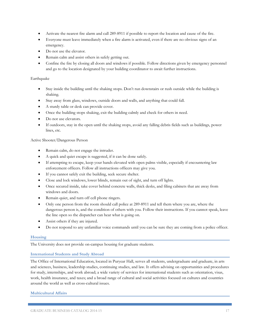- Activate the nearest fire alarm and call 289-8911 if possible to report the location and cause of the fire.
- Everyone must leave immediately when a fire alarm is activated, even if there are no obvious signs of an emergency.
- Do not use the elevator.
- Remain calm and assist others in safely getting out.
- Confine the fire by closing all doors and windows if possible. Follow directions given by emergency personnel and go to the location designated by your building coordinator to await further instructions.

# Earthquake

- Stay inside the building until the shaking stops. Don't run downstairs or rush outside while the building is shaking.
- Stay away from glass, windows, outside doors and walls, and anything that could fall.
- A sturdy table or desk can provide cover.
- Once the building stops shaking, exit the building calmly and check for others in need.
- Do not use elevators.
- If outdoors, stay in the open until the shaking stops, avoid any falling debris fields such as buildings, power lines, etc.

### Active Shooter/Dangerous Person

- Remain calm, do not engage the intruder.
- A quick and quiet escape is suggested, if it can be done safely.
- If attempting to escape, keep your hands elevated with open palms visible, especially if encountering law enforcement officers. Follow all instructions officers may give you.
- If you cannot safely exit the building, seek secure shelter.
- Close and lock windows, lower blinds, remain out of sight, and turn off lights.
- Once secured inside, take cover behind concrete walls, thick desks, and filing cabinets that are away from windows and doors.
- Remain quiet, and turn off cell phone ringers.
- Only one person from the room should call police at 289-8911 and tell them where you are, where the dangerous person is, and the condition of others with you. Follow their instructions. If you cannot speak, leave the line open so the dispatcher can hear what is going on.
- Assist others if they are injured.
- Do not respond to any unfamiliar voice commands until you can be sure they are coming from a police officer.

### **Housing**

The University does not provide on-campus housing for graduate students.

### **International Students and Study Abroad**

The Office of International Education, located in Puryear Hall, serves all students, undergraduate and graduate, in arts and sciences, business, leadership studies, continuing studies, and law. It offers advising on opportunities and procedures for study, internships, and work abroad; a wide variety of services for international students such as orientation, visas, work, health insurance, and taxes; and a broad range of cultural and social activities focused on cultures and countries around the world as well as cross-cultural issues.

### **Multicultural Affairs**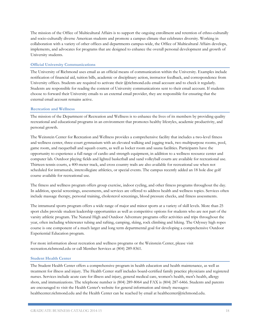The mission of the Office of Multicultural Affairs is to support the ongoing enrollment and retention of ethno-culturally and socio-culturally diverse American students and promote a campus climate that celebrates diversity. Working in collaboration with a variety of other offices and departments campus-wide, the Office of Multicultural Affairs develops, implements, and advocates for programs that are designed to enhance the overall personal development and growth of University students.

# **Official University Communications**

The University of Richmond uses email as an official means of communication within the University. Examples include notification of financial aid, tuition bills, academic or disciplinary action, instructor feedback, and correspondence from University offices. Students are required to activate their @richmond.edu email account and to check it regularly. Students are responsible for reading the content of University communications sent to their email account. If students choose to forward their University emails to an external email provider, they are responsible for ensuring that the external email account remains active.

### **Recreation and Wellness**

The mission of the Department of Recreation and Wellness is to enhance the lives of its members by providing quality recreational and educational programs in an environment that promotes healthy lifestyles, academic productivity, and personal growth.

The Weinstein Center for Recreation and Wellness provides a comprehensive facility that includes a two-level fitness and wellness center, three-court gymnasium with an elevated walking and jogging track, two multipurpose rooms, pool, game room, and racquetball and squash courts, as well as locker room and sauna facilities. Participants have the opportunity to experience a full range of cardio and strength equipment, in addition to a wellness resource center and computer lab. Outdoor playing fields and lighted basketball and sand volleyball courts are available for recreational use. Thirteen tennis courts, a 400-meter track, and cross country trails are also available for recreational use when not scheduled for intramurals, intercollegiate athletics, or special events. The campus recently added an 18 hole disc golf course available for recreational use.

The fitness and wellness program offers group exercise, indoor cycling, and other fitness programs throughout the day. In addition, special screenings, assessments, and services are offered to address health and wellness topics. Services often include massage therapy, personal training, cholesterol screenings, blood pressure checks, and fitness assessments.

The intramural sports program offers a wide range of major and minor sports at a variety of skill levels. More than 25 sport clubs provide student leadership opportunities as well as competitive options for students who are not part of the varsity athletic program. The Natural High and Outdoor Adventure programs offer activities and trips throughout the year, often including whitewater tubing and rafting, camping, skiing, rock climbing and hiking. The Odyssey high ropes course is one component of a much larger and long term departmental goal for developing a comprehensive Outdoor Experiential Education program.

For more information about recreation and wellness programs or the Weinstein Center, please visit recreation.richmond.edu or call Member Services at (804) 289-8361.

### **Student Health Center**

The Student Health Center offers a comprehensive program in health education and health maintenance, as well as treatment for illness and injury. The Health Center staff includes board-certified family practice physicians and registered nurses. Services include acute care for illness and injury, general medical care, women's health, men's health, allergy shots, and immunizations. The telephone number is (804) 289-8064 and FAX is (804) 287-6466. Students and parents are encouraged to visit the Health Center's website for general information and timely messages: healthcenter.richmond.edu and the Health Center can be reached by email at healthcenter@richmond.edu.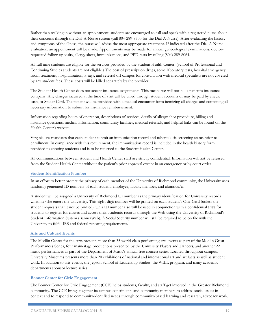Rather than walking in without an appointment, students are encouraged to call and speak with a registered nurse about their concerns through the Dial-A-Nurse system (call 804-289-8700 for the Dial-A-Nurse). After evaluating the history and symptoms of the illness, the nurse will advise the most appropriate treatment. If indicated after the Dial-A-Nurse evaluation, an appointment will be made. Appointments may be made for annual gynecological examinations, doctorrequested follow-up visits, allergy shots, immunizations, and PPD tests by calling (804) 289-8064.

All full time students are eligible for the services provided by the Student Health Center. (School of Professional and Continuing Studies students are not eligible.) The cost of prescription drugs, some laboratory tests, hospital emergency room treatment, hospitalization, x-rays, and referral off campus for consultation with medical specialists are not covered by any student fees. These costs will be billed separately by the provider.

The Student Health Center does not accept insurance assignments. This means we will not bill a patient's insurance company. Any charges incurred at the time of visit will be billed through student accounts or may be paid by check, cash, or Spider Card. The patient will be provided with a medical encounter form itemizing all charges and containing all necessary information to submit for insurance reimbursement.

Information regarding hours of operation, descriptions of services, details of allergy shot procedure, billing and insurance questions, medical information, community facilities, medical referrals, and helpful links can be found on the Health Center's website.

Virginia law mandates that each student submit an immunization record and tuberculosis screening status prior to enrollment. In compliance with this requirement, the immunization record is included in the health history form provided to entering students and is to be returned to the Student Health Center.

All communications between student and Health Center staff are strictly confidential. Information will not be released from the Student Health Center without the patient's prior approval except in an emergency or by court order.

### **Student Identification Number**

In an effort to better protect the privacy of each member of the University of Richmond community, the University uses randomly generated ID numbers of each student, employee, faculty member, and alumnus/a.

A student will be assigned a University of Richmond ID number as the primary identification for University records when he/she enters the University. This eight-digit number will be printed on each student's One-Card (unless the student requests that it not be printed). This ID number also will be used in conjunction with a confidential PIN for students to register for classes and access their academic records through the Web using the University of Richmond's Student Information System (BannerWeb). A Social Security number will still be required to be on file with the University to fulfill IRS and federal reporting requirements.

### **Arts and Cultural Events**

The Modlin Center for the Arts presents more than 35 world-class performing arts events as part of the Modlin Great Performances Series, four main-stage productions presented by the University Players and Dancers, and another 22 music performances as part of the Department of Music's annual free concert series. Located throughout campus, University Museums presents more than 20 exhibitions of national and international art and artifacts as well as student work. In addition to arts events, the Jepson School of Leadership Studies, the WILL program, and many academic departments sponsor lecture series.

### **Bonner Center for Civic Engagement**

The Bonner Center for Civic Engagement (CCE) helps students, faculty, and staff get involved in the Greater Richmond community. The CCE brings together its campus constituents and community members to address social issues in context and to respond to community-identified needs through community-based learning and research, advocacy work,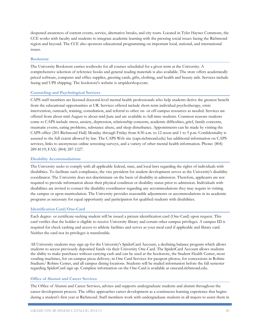deepened awareness of current events, service, alternative breaks, and city tours. Located in Tyler Haynes Commons, the CCE works with faculty and students to integrate academic learning with the pressing social issues facing the Richmond region and beyond. The CCE also sponsors educational programming on important local, national, and international issues.

### **Bookstore**

The University Bookstore carries textbooks for all courses scheduled for a given term at the University. A comprehensive selection of reference books and general reading materials is also available. The store offers academically priced software, computer and office supplies, greeting cards, gifts, clothing, and health and beauty aids. Services include faxing and UPS shipping. The bookstore's website is urspidershop.com.

### **Counseling and Psychological Services**

CAPS staff members are licensed doctoral-level mental health professionals who help students derive the greatest benefit from the educational opportunities at UR. Services offered include short-term individual psychotherapy, crisis intervention, outreach, training, consultation, and referral to other on- or off-campus resources as needed. Services are offered from about mid-August to about mid-June and are available to full-time students. Common reasons students come to CAPS include stress, anxiety, depression, relationship concerns, academic difficulties, grief, family concerns, traumatic events, eating problems, substance abuse, and sleep disturbance. Appointments can be made by visiting the CAPS office (201 Richmond Hall) Monday through Friday from 8:30 a.m. to 12 noon and 1 to 5 p.m. Confidentiality is assured to the full extent allowed by law. The CAPS Web site (caps.richmond.edu) has additional information on CAPS services, links to anonymous online screening surveys, and a variety of other mental health information. Phone: (804) 289-8119; FAX: (804) 287-1227.

### **Disability Accommodations**

The University seeks to comply with all applicable federal, state, and local laws regarding the rights of individuals with disabilities. To facilitate such compliance, the vice president for student development serves as the University's disability coordinator. The University does not discriminate on the basis of disability in admission. Therefore, applicants are not required to provide information about their physical condition or disability status prior to admission. Individuals with disabilities are invited to contact the disability coordinator regarding any accommodations they may require in visiting the campus or upon matriculation. The University provides reasonable adjustments or accommodations in its academic programs as necessary for equal opportunity and participation for qualified students with disabilities.

### **Identification Card/One-Card**

Each degree- or certificate-seeking student will be issued a picture identification card (One-Card) upon request. This card verifies that the holder is eligible to receive University library and certain other campus privileges. A campus ID is required for check cashing and access to athletic facilities and serves as your meal card if applicable and library card. Neither the card nor its privileges is transferable.

All University students may sign up for the University's SpiderCard Account, a declining balance program which allows students to access previously deposited funds via their University One-Card. The SpiderCard Account allows students the ability to make purchases without carrying cash and can be used at the bookstore, the Student Health Center, most vending machines, for on-campus pizza delivery, in One Card Services for passport photos, for concessions in Robins Stadium/ Robins Center, and all campus dining locations. Students will be mailed information before the fall semester regarding SpiderCard sign up. Complete information on the One-Card is available at onecard.richmond.edu.

### **Office of Alumni and Career Services**

The Office of Alumni and Career Services, advises and supports undergraduate students and alumni throughout the career development process. The office approaches career development as a continuous learning experience that begins during a student's first year at Richmond. Staff members work with undergraduate students in all majors to assist them in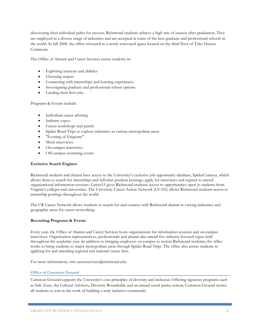discovering their individual paths for success. Richmond students achieve a high rate of success after graduation. They are employed in a diverse range of industries and are accepted at some of the best graduate and professional schools in the world. In fall 2008, the office relocated to a newly renovated space located on the third floor of Tyler Haynes Commons.

The Office of Alumni and Career Services assists students in:

- Exploring interests and abilities
- Choosing majors
- Connecting with internships and learning experiences
- Investigating graduate and professional school options
- Landing their first jobs

Programs & Events include:

- Individual career advising
- Industry expos
- Career workshops and panels
- Spider Road Trips to explore industries in various metropolitan areas
- "Evening of Etiquette"
- Mock interviews
- On-campus interviews
- Off-campus recruiting events

# **Exclusive Search Engines**

Richmond students and alumni have access to the University's exclusive job opportunity database, SpiderConnect, which allows them to search for internships and full-time position postings, apply for interviews and register to attend organizational information sessions. Career15 gives Richmond students access to opportunities open to students from Virginia's colleges and universities. The University Career Action Network (UCAN) allows Richmond students access to internship postings throughout the world.

The UR Career Network allows students to search for and connect with Richmond alumni in varying industries and geographic areas for career networking.

# **Recruiting Programs & Events**

Every year, the Office of Alumni and Career Services hosts organizations for information sessions and on-campus interviews. Organization representatives, professionals and alumni also attend five industry-focused expos held throughout the academic year. In addition to bringing employers on campus to recruit Richmond students, the office works to bring students to major metropolitan areas through Spider Road Trips. The office also assists students in applying for and attending regional and national career fairs.

For more information, visit careerservices@richmond.edu.

# **Office of Common Ground**

Common Ground supports the University's core principles of diversity and inclusion. Offering signature programs such as Safe Zone, the Cultural Advisors, Diversity Roundtable and an annual social justice retreat, Common Ground invites all students to join in the work of building a truly inclusive community.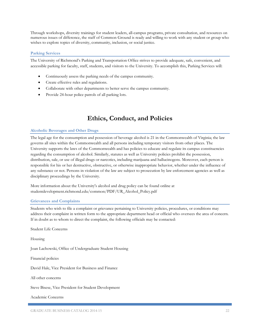Through workshops, diversity trainings for student leaders, all-campus programs, private consultation, and resources on numerous issues of difference, the staff of Common Ground is ready and willing to work with any student or group who wishes to explore topics of diversity, community, inclusion, or social justice.

# **Parking Services**

The University of Richmond's Parking and Transportation Office strives to provide adequate, safe, convenient, and accessible parking for faculty, staff, students, and visitors to the University. To accomplish this, Parking Services will:

- Continuously assess the parking needs of the campus community.
- Create effective rules and regulations.
- Collaborate with other departments to better serve the campus community.
- Provide 24-hour police patrols of all parking lots.

# **Ethics, Conduct, and Policies**

### **Alcoholic Beverages and Other Drugs**

The legal age for the consumption and possession of beverage alcohol is 21 in the Commonwealth of Virginia; the law governs all sites within the Commonwealth and all persons including temporary visitors from other places. The University supports the laws of the Commonwealth and has policies to educate and regulate its campus constituencies regarding the consumption of alcohol. Similarly, statutes as well as University policies prohibit the possession, distribution, sale, or use of illegal drugs or narcotics, including marijuana and hallucinogens. Moreover, each person is responsible for his or her destructive, obstructive, or otherwise inappropriate behavior, whether under the influence of any substance or not. Persons in violation of the law are subject to prosecution by law enforcement agencies as well as disciplinary proceedings by the University.

More information about the University's alcohol and drug policy can be found online at studentdevelopment.richmond.edu/common/PDF/UR\_Alcohol\_Policy.pdf

# **Grievances and Complaints**

Students who wish to file a complaint or grievance pertaining to University policies, procedures, or conditions may address their complaint in written form to the appropriate department head or official who oversees the area of concern. If in doubt as to whom to direct the complaint, the following officials may be contacted:

Student Life Concerns

Housing

Joan Lachowski, Office of Undergraduate Student Housing

Financial policies

David Hale, Vice President for Business and Finance

All other concerns

Steve Bisese, Vice President for Student Development

Academic Concerns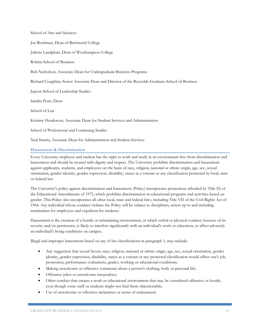School of Arts and Sciences

Joe Boehman, Dean of Richmond College

Juliette Landphair, Dean of Westhampton College

Robins School of Business

Bob Nicholson, Associate Dean for Undergraduate Business Programs

Richard Coughlan, Senior Associate Dean and Director of the Reynolds Graduate School of Business

Jepson School of Leadership Studies

Sandra Peart, Dean

School of Law

Kristine Henderson, Associate Dean for Student Services and Administration

School of Professional and Continuing Studies

Ned Swartz, Associate Dean for Administration and Student Services

### **Harassment & Discrimination**

Every University employee and student has the right to work and study in an environment free from discrimination and harassment and should be treated with dignity and respect. The University prohibits discrimination and harassment against applicants, students, and employees on the basis of race, religion, national or ethnic origin, age, sex, sexual orientation, gender identity, gender expression, disability, status as a veteran or any classification protected by local, state or federal law.

The University's policy against discrimination and harassment (Policy) incorporates protections afforded by Title IX of the Educational Amendments of 1972, which prohibits discrimination in educational programs and activities based on gender. This Policy also incorporates all other local, state and federal laws, including Title VII of the Civil Rights Act of 1964. Any individual whose conduct violates the Policy will be subject to disciplinary action up to and including termination for employees and expulsion for students.

Harassment is the creation of a hostile or intimidating environment, in which verbal or physical conduct, because of its severity and/or persistence, is likely to interfere significantly with an individual's work or education, or affect adversely an individual's living conditions on campus.

Illegal and improper harassment based on any of the classifications in paragraph 1, may include:

- Any suggestion that sexual favors, race, religion, national or ethnic origin, age, sex, sexual orientation, gender identity, gender expression, disability, status as a veteran or any protected classification would affect one's job, promotion, performance evaluations, grades, working or educational conditions;
- Making unwelcome or offensive comments about a person's clothing, body or personal life;
- Offensive jokes or unwelcome innuendoes;
- Other conduct that creates a work or educational environment that may be considered offensive or hostile, even though some staff or students might not find them objectionable;
- Use of unwelcome or offensive nicknames or terms of endearment.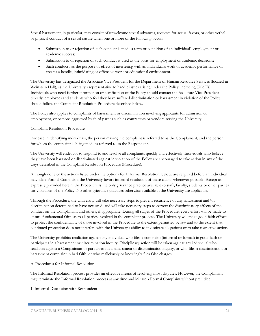Sexual harassment, in particular, may consist of unwelcome sexual advances, requests for sexual favors, or other verbal or physical conduct of a sexual nature when one or more of the following occur:

- Submission to or rejection of such conduct is made a term or condition of an individual's employment or academic success;
- Submission to or rejection of such conduct is used as the basis for employment or academic decisions;
- Such conduct has the purpose or effect of interfering with an individual's work or academic performance or creates a hostile, intimidating or offensive work or educational environment.

The University has designated the Associate Vice President for the Department of Human Resource Services (located in Weinstein Hall), as the University's representative to handle issues arising under the Policy, including Title IX. Individuals who need further information or clarification of the Policy should contact the Associate Vice President directly. employees and students who feel they have suffered discrimination or harassment in violation of the Policy should follow the Complaint Resolution Procedure described below.

The Policy also applies to complaints of harassment or discrimination involving applicants for admission or employment, or persons aggrieved by third parties such as contractors or vendors serving the University.

# Complaint Resolution Procedure

For ease in identifying individuals, the person making the complaint is referred to as the Complainant, and the person for whom the complaint is being made is referred to as the Respondent.

The University will endeavor to respond to and resolve all complaints quickly and effectively. Individuals who believe they have been harassed or discriminated against in violation of the Policy are encouraged to take action in any of the ways described in the Complaint Resolution Procedure (Procedure).

Although none of the actions listed under the options for Informal Resolution, below, are required before an individual may file a Formal Complaint, the University favors informal resolution of these claims whenever possible. Except as expressly provided herein, the Procedure is the only grievance practice available to staff, faculty, students or other parties for violations of the Policy. No other grievance practices otherwise available at the University are applicable.

Through the Procedure, the University will take necessary steps to prevent recurrence of any harassment and/or discrimination determined to have occurred, and will take necessary steps to correct the discriminatory effects of the conduct on the Complainant and others, if appropriate. During all stages of the Procedure, every effort will be made to ensure fundamental fairness to all parties involved in the complaint process. The University will make good faith efforts to protect the confidentiality of those involved in the Procedure to the extent permitted by law and to the extent that continued protection does not interfere with the University's ability to investigate allegations or to take corrective action.

The University prohibits retaliation against any individual who files a complaint (informal or formal) in good faith or participates in a harassment or discrimination inquiry. Disciplinary action will be taken against any individual who retaliates against a Complainant or participant in a harassment or discrimination inquiry, or who files a discrimination or harassment complaint in bad faith, or who maliciously or knowingly files false charges.

# A. Procedures for Informal Resolution

The Informal Resolution process provides an effective means of resolving most disputes. However, the Complainant may terminate the Informal Resolution process at any time and initiate a Formal Complaint without prejudice.

# 1. Informal Discussion with Respondent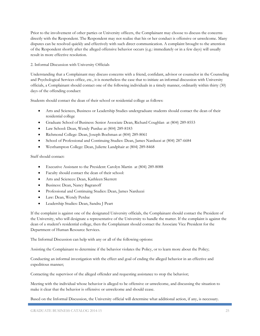Prior to the involvement of other parties or University officers, the Complainant may choose to discuss the concerns directly with the Respondent. The Respondent may not realize that his or her conduct is offensive or unwelcome. Many disputes can be resolved quickly and effectively with such direct communication. A complaint brought to the attention of the Respondent shortly after the alleged offensive behavior occurs (e.g.: immediately or in a few days) will usually result in more effective resolution.

# 2. Informal Discussion with University Officials

Understanding that a Complainant may discuss concerns with a friend, confidant, advisor or counselor in the Counseling and Psychological Services office, etc., it is nonetheless the case that to initiate an informal discussion with University officials, a Complainant should contact one of the following individuals in a timely manner, ordinarily within thirty (30) days of the offending conduct:

Students should contact the dean of their school or residential college as follows:

- Arts and Sciences, Business or Leadership Studies undergraduate students should contact the dean of their residential college
- Graduate School of Business: Senior Associate Dean, Richard Coughlan at (804) 289-8553
- Law School: Dean, Wendy Purdue at (804) 289-8183
- Richmond College: Dean, Joseph Boehman at (804) 289-8061
- School of Professional and Continuing Studies: Dean, James Narduzzi at (804) 287-6684
- Westhampton College: Dean, Juliette Landphair at (804) 289-8468

# Staff should contact:

- Executive Assistant to the President: Carolyn Martin at (804) 289-8088
- Faculty should contact the dean of their school:
- Arts and Sciences: Dean, Kathleen Skerrett
- Business: Dean, Nancy Bagranoff
- Professional and Continuing Studies: Dean, James Narduzzi
- Law: Dean, Wendy Perdue
- Leadership Studies: Dean, Sandra J Peart

If the complaint is against one of the designated University officials, the Complainant should contact the President of the University, who will designate a representative of the University to handle the matter. If the complaint is against the dean of a student's residential college, then the Complainant should contact the Associate Vice President for the Department of Human Resource Services.

The Informal Discussion can help with any or all of the following options:

Assisting the Complainant to determine if the behavior violates the Policy, or to learn more about the Policy;

Conducting an informal investigation with the effect and goal of ending the alleged behavior in an effective and expeditious manner;

Contacting the supervisor of the alleged offender and requesting assistance to stop the behavior;

Meeting with the individual whose behavior is alleged to be offensive or unwelcome, and discussing the situation to make it clear that the behavior is offensive or unwelcome and should cease.

Based on the Informal Discussion, the University official will determine what additional action, if any, is necessary.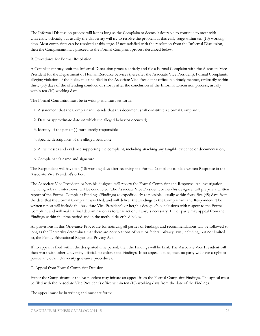The Informal Discussion process will last as long as the Complainant deems it desirable to continue to meet with University officials, but usually the University will try to resolve the problem at this early stage within ten (10) working days. Most complaints can be resolved at this stage. If not satisfied with the resolution from the Informal Discussion, then the Complainant may proceed to the Formal Complaint process described below.

B. Procedures for Formal Resolution

A Complainant may omit the Informal Discussion process entirely and file a Formal Complaint with the Associate Vice President for the Department of Human Resource Services (hereafter the Associate Vice President). Formal Complaints alleging violation of the Policy must be filed in the Associate Vice President's office in a timely manner, ordinarily within thirty (30) days of the offending conduct, or shortly after the conclusion of the Informal Discussion process, usually within ten (10) working days.

The Formal Complaint must be in writing and must set forth:

- 1. A statement that the Complainant intends that this document shall constitute a Formal Complaint;
- 2. Date or approximate date on which the alleged behavior occurred;
- 3. Identity of the person(s) purportedly responsible;
- 4. Specific descriptions of the alleged behavior;
- 5. All witnesses and evidence supporting the complaint, including attaching any tangible evidence or documentation;
- 6. Complainant's name and signature.

The Respondent will have ten (10) working days after receiving the Formal Complaint to file a written Response in the Associate Vice President's office.

The Associate Vice President, or her/his designee, will review the Formal Complaint and Response. An investigation, including relevant interviews, will be conducted. The Associate Vice President, or her/his designee, will prepare a written report of the Formal Complaint Findings (Findings) as expeditiously as possible, usually within forty-five (45) days from the date that the Formal Complaint was filed, and will deliver the Findings to the Complainant and Respondent. The written report will include the Associate Vice President's or her/his designee's conclusions with respect to the Formal Complaint and will make a final determination as to what action, if any, is necessary. Either party may appeal from the Findings within the time period and in the method described below.

All provisions in this Grievance Procedure for notifying all parties of Findings and recommendations will be followed so long as the University determines that there are no violations of state or federal privacy laws, including, but not limited to, the Family Educational Rights and Privacy Act.

If no appeal is filed within the designated time period, then the Findings will be final. The Associate Vice President will then work with other University officials to enforce the Findings. If no appeal is filed, then no party will have a right to pursue any other University grievance procedures.

C. Appeal from Formal Complaint Decision

Either the Complainant or the Respondent may initiate an appeal from the Formal Complaint Findings. The appeal must be filed with the Associate Vice President's office within ten (10) working days from the date of the Findings.

The appeal must be in writing and must set forth: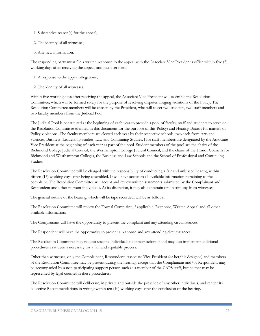- 1. Substantive reason(s) for the appeal;
- 2. The identity of all witnesses;
- 3. Any new information.

The responding party must file a written response to the appeal with the Associate Vice President's office within five (5) working days after receiving the appeal, and must set forth:

- 1. A response to the appeal allegations;
- 2. The identity of all witnesses.

Within five working days after receiving the appeal, the Associate Vice President will assemble the Resolution Committee, which will be formed solely for the purpose of resolving disputes alleging violations of the Policy. The Resolution Committee members will be chosen by the President, who will select two students, two staff members and two faculty members from the Judicial Pool.

The Judicial Pool is constituted at the beginning of each year to provide a pool of faculty, staff and students to serve on the Resolution Committee (defined in this document for the purpose of this Policy) and Hearing Boards for matters of Policy violations. The faculty members are elected each year by their respective schools, two each from Arts and Sciences, Business, Leadership Studies, Law and Continuing Studies. Five staff members are designated by the Associate Vice President at the beginning of each year as part of the pool. Student members of the pool are the chairs of the Richmond College Judicial Council, the Westhampton College Judicial Council, and the chairs of the Honor Councils for Richmond and Westhampton Colleges, the Business and Law Schools and the School of Professional and Continuing Studies.

The Resolution Committee will be charged with the responsibility of conducting a fair and unbiased hearing within fifteen (15) working days after being assembled. It will have access to all available information pertaining to the complaint. The Resolution Committee will accept and review written statements submitted by the Complainant and Respondent and other relevant individuals. At its discretion, it may also entertain oral testimony from witnesses.

The general outline of the hearing, which will be tape recorded, will be as follows:

The Resolution Committee will review the Formal Complaint, if applicable, Response, Written Appeal and all other available information;

The Complainant will have the opportunity to present the complaint and any attending circumstances;

The Respondent will have the opportunity to present a response and any attending circumstances;

The Resolution Committee may request specific individuals to appear before it and may also implement additional procedures as it deems necessary for a fair and equitable process;

Other than witnesses, only the Complainant, Respondent, Associate Vice President (or her/his designee) and members of the Resolution Committee may be present during the hearing; except that the Complainant and/or Respondent may be accompanied by a non-participating support person such as a member of the CAPS staff, but neither may be represented by legal counsel in these procedures;

The Resolution Committee will deliberate, in private and outside the presence of any other individuals, and render its collective Recommendations in writing within ten (10) working days after the conclusion of the hearing.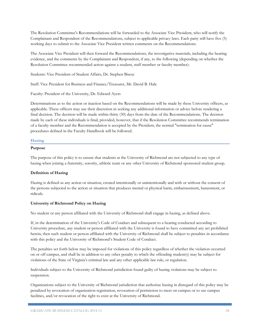The Resolution Committee's Recommendations will be forwarded to the Associate Vice President, who will notify the Complainant and Respondent of the Recommendations, subject to applicable privacy laws. Each party will have five (5) working days to submit to the Associate Vice President written comments on the Recommendations.

The Associate Vice President will then forward the Recommendations, the investigative materials, including the hearing evidence, and the comments by the Complainant and Respondent, if any, to the following (depending on whether the Resolution Committee recommended action against a student, staff member or faculty member):

Students: Vice President of Student Affairs, Dr. Stephen Bisese

Staff: Vice President for Business and Finance/Treasurer, Mr. David B. Hale

Faculty: President of the University, Dr. Edward Ayers

Determinations as to the action or inaction based on the Recommendations will be made by these University officers, as applicable. These officers may use their discretion in seeking any additional information or advice before rendering a final decision. The decision will be made within thirty (30) days from the date of the Recommendations. The decision made by each of these individuals is final; provided, however, that if the Resolution Committee recommends termination of a faculty member and the Recommendation is accepted by the President, the normal "termination for cause" procedures defined in the Faculty Handbook will be followed.

# **Hazing**

### **Purpose**

The purpose of this policy is to ensure that students at the University of Richmond are not subjected to any type of hazing when joining a fraternity, sorority, athletic team or any other University of Richmond sponsored student group.

### **Definition of Hazing**

Hazing is defined as any action or situation, created intentionally or unintentionally and with or without the consent of the persons subjected to the action or situation that produces mental or physical harm, embarrassment, harassment, or ridicule.

### **University of Richmond Policy on Hazing**

No student or any person affiliated with the University of Richmond shall engage in hazing, as defined above.

If, in the determination of the University's Code of Conduct and subsequent to a hearing conducted according to University procedure, any student or person affiliated with the University is found to have committed any act prohibited herein, then such student or person affiliated with the University of Richmond shall be subject to penalties in accordance with this policy and the University of Richmond's Student Code of Conduct.

The penalties set forth below may be imposed for violations of this policy regardless of whether the violation occurred on or off campus, and shall be in addition to any other penalty to which the offending student(s) may be subject for violations of the State of Virginia's criminal law and any other applicable law rule, or regulation.

Individuals subject to the University of Richmond jurisdiction found guilty of hazing violations may be subject to suspension.

Organizations subject to the University of Richmond jurisdiction that authorize hazing in disregard of this policy may be penalized by revocation of organization registration, revocation of permission to meet on campus or to use campus facilities, and/or revocation of the right to exist at the University of Richmond.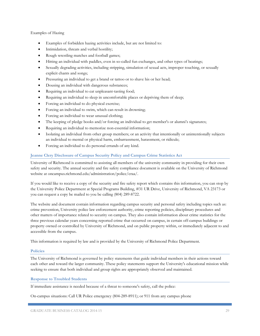Examples of Hazing

- Examples of forbidden hazing activities include, but are not limited to:
- Intimidation, threats and verbal hostility;
- Rough wrestling matches and football games;
- Hitting an individual with paddles, even in so-called fun exchanges, and other types of beatings;
- Sexually degrading activities, including stripping, simulation of sexual acts, improper touching, or sexually explicit chants and songs;
- Pressuring an individual to get a brand or tattoo or to shave his or her head;
- Dousing an individual with dangerous substances;
- Requiring an individual to eat unpleasant-tasting food;
- Requiring an individual to sleep in uncomfortable places or depriving them of sleep;
- Forcing an individual to do physical exercise;
- Forcing an individual to swim, which can result in drowning;
- Forcing an individual to wear unusual clothing;
- The keeping of pledge books and/or forcing an individual to get member's or alumni's signatures;
- Requiring an individual to memorize non-essential information;
- Isolating an individual from other group members; or an activity that intentionally or unintentionally subjects an individual to mental or physical harm, embarrassment, harassment, or ridicule;
- Forcing an individual to do personal errands of any kind.

# **Jeanne Clery Disclosure of Campus Security Policy and Campus Crime Statistics Act**

University of Richmond is committed to assisting all members of the university community in providing for their own safety and security. The annual security and fire safety compliance document is available on the University of Richmond website at oncampus.richmond.edu/administration/police/craa/.

If you would like to receive a copy of the security and fire safety report which contains this information, you can stop by the University Police Department at Special Programs Building, #31 UR Drive, University of Richmond, VA 23173 or you can request a copy be mailed to you be calling (804) 289-8722.

The website and document contain information regarding campus security and personal safety including topics such as: crime prevention, University police law enforcement authority, crime reporting policies, disciplinary procedures and other matters of importance related to security on campus. They also contain information about crime statistics for the three previous calendar years concerning reported crime that occurred on campus, in certain off-campus buildings or property owned or controlled by University of Richmond, and on public property within, or immediately adjacent to and accessible from the campus.

This information is required by law and is provided by the University of Richmond Police Department.

### **Policies**

The University of Richmond is governed by policy statements that guide individual members in their actions toward each other and toward the larger community. These policy statements support the University's educational mission while seeking to ensure that both individual and group rights are appropriately observed and maintained.

# **Response to Troubled Students**

If immediate assistance is needed because of a threat to someone's safety, call the police:

On-campus situations: Call UR Police emergency (804-289-8911); or 911 from any campus phone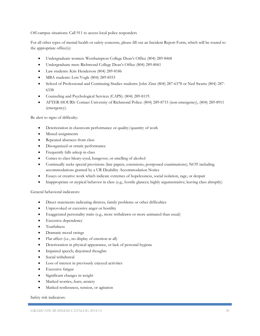Off-campus situations: Call 911 to access local police responders

For all other types of mental health or safety concerns, please fill out an Incident Report Form, which will be routed to the appropriate office(s):

- Undergraduate women: Westhampton College Dean's Office (804) 289-8468
- Undergraduate men: Richmond College Dean's Office (804) 289-8061
- Law students: Kris Henderson (804) 289-8186
- MBA students: Lois Vogle (804) 289-8553
- School of Professional and Continuing Studies students: John Zinn (804) 287-6378 or Ned Swartz (804) 287- 6338
- Counseling and Psychological Services (CAPS): (804) 289-8119.
- AFTER-HOURS: Contact University of Richmond Police: (804) 289-8715 (non-emergency), (804) 289-8911 (emergency).

Be alert to signs of difficulty:

- Deterioration in classroom performance or quality/quantity of work
- Missed assignments
- Repeated absences from class
- Disorganized or erratic performance
- Frequently falls asleep in class
- Comes to class bleary-eyed, hungover, or smelling of alcohol
- Continually seeks special provisions (late papers, extensions, postponed examinations); NOT including accommodations granted by a UR Disability Accommodation Notice
- Essays or creative work which indicate extremes of hopelessness, social isolation, rage, or despair
- Inappropriate or atypical behavior in class (e.g., hostile glances; highly argumentative; leaving class abruptly)

General behavioral indicators:

- Direct statements indicating distress, family problems or other difficulties
- Unprovoked or excessive anger or hostility
- Exaggerated personality traits (e.g., more withdrawn or more animated than usual)
- Excessive dependency
- Tearfulness
- Dramatic mood swings
- Flat affect (i.e., no display of emotion at all)
- Deterioration in physical appearance, or lack of personal hygiene
- Impaired speech; disjointed thoughts
- Social withdrawal
- Loss of interest in previously enjoyed activities
- Excessive fatigue
- Significant changes in weight
- Marked worries, fears, anxiety
- Marked restlessness, tension, or agitation

Safety risk indicators: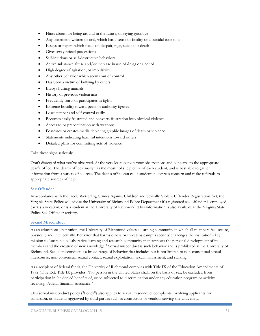- Hints about not being around in the future, or saying goodbye
- Any statement, written or oral, which has a sense of finality or a suicidal tone to it
- Essays or papers which focus on despair, rage, suicide or death
- Gives away prized possessions
- Self-injurious or self-destructive behaviors
- Active substance abuse and/or increase in use of drugs or alcohol
- High degree of agitation, or impulsivity
- Any other behavior which seems out of control
- Has been a victim of bullying by others
- Enjoys hurting animals
- History of previous violent acts
- Frequently starts or participates in fights
- Extreme hostility toward peers or authority figures
- Loses temper and self-control easily
- Becomes easily frustrated and converts frustration into physical violence
- Access to or preoccupation with weapons
- Possesses or creates media depicting graphic images of death or violence
- Statements indicating harmful intentions toward others
- Detailed plans for committing acts of violence

### Take these signs seriously

Don't disregard what you've observed. At the very least, convey your observations and concerns to the appropriate dean's office. The dean's office usually has the most holistic picture of each student, and is best able to gather information from a variety of sources. The dean's office can call a student in, express concern and make referrals to appropriate sources of help.

### **Sex Offender**

In accordance with the Jacob Wetterling Crimes Against Children and Sexually Violent Offender Registration Act, the Virginia State Police will advise the University of Richmond Police Department if a registered sex offender is employed, carries a vocation, or is a student at the University of Richmond. This information is also available at the Virginia State Police Sex Offender registry.

### **Sexual Misconduct**

As an educational institution, the University of Richmond values a learning community in which all members feel secure, physically and intellectually. Behavior that harms others or threatens campus security challenges the institution's key mission to "sustain a collaborative learning and research community that supports the personal development of its members and the creation of new knowledge." Sexual misconduct is such behavior and is prohibited at the University of Richmond. Sexual misconduct is a broad range of behavior that includes but is not limited to non-consensual sexual intercourse, non-consensual sexual contact, sexual exploitation, sexual harassment, and stalking.

As a recipient of federal funds, the University of Richmond complies with Title IX of the Education Amendments of 1972 (Title IX). Title IX provides: "No person in the United States shall, on the basis of sex, be excluded from participation in, be denied benefits of, or be subjected to discrimination under any education program or activity receiving Federal financial assistance."

This sexual misconduct policy ("Policy") also applies to sexual misconduct complaints involving applicants for admission, or students aggrieved by third parties such as contractors or vendors serving the University.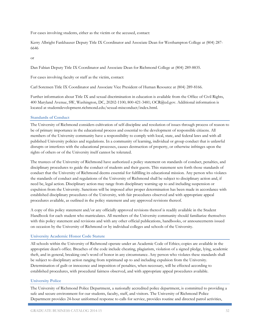For cases involving students, either as the victim or the accused, contact:

Kerry Albright Fankhauser Deputy Title IX Coordinator and Associate Dean for Westhampton College at (804) 287- 6646

or

Dan Fabian Deputy Title IX Coordinator and Associate Dean for Richmond College at (804) 289-8835.

For cases involving faculty or staff as the victim, contact:

Carl Sorensen Title IX Coordinator and Associate Vice President of Human Resource at (804) 289-8166.

Further information about Title IX and sexual discrimination in education is available from the Office of Civil Rights, 400 Maryland Avenue, SW, Washington, DC, 20202-1100; 800-421-3481; OCR@ed.gov. Additional information is located at studentdevelopment.richmond.edu/sexual-misconduct/index.html.

# **Standards of Conduct**

The University of Richmond considers cultivation of self-discipline and resolution of issues through process of reason to be of primary importance in the educational process and essential to the development of responsible citizens. All members of the University community have a responsibility to comply with local, state, and federal laws and with all published University policies and regulations. In a community of learning, individual or group conduct that is unlawful disrupts or interferes with the educational processes, causes destruction of property, or otherwise infringes upon the rights of others or of the University itself cannot be tolerated.

The trustees of the University of Richmond have authorized a policy statement on standards of conduct, penalties, and disciplinary procedures to guide the conduct of students and their guests. This statement sets forth those standards of conduct that the University of Richmond deems essential for fulfilling its educational mission. Any person who violates the standards of conduct and regulations of the University of Richmond shall be subject to disciplinary action and, if need be, legal action. Disciplinary action may range from disciplinary warning up to and including suspension or expulsion from the University. Sanctions will be imposed after proper determination has been made in accordance with established disciplinary procedures of the University, with fair procedures observed and with appropriate appeal procedures available, as outlined in the policy statement and any approved revisions thereof.

A copy of this policy statement and/or any officially approved revisions thereof is readily available in the Student Handbook for each student who matriculates. All members of the University community should familiarize themselves with this policy statement and revisions and with any other official publications, handbooks, or announcements issued on occasion by the University of Richmond or by individual colleges and schools of the University.

# **University Academic Honor Code Statute**

All schools within the University of Richmond operate under an Academic Code of Ethics; copies are available in the appropriate dean's office. Breaches of the code include cheating, plagiarism, violation of a signed pledge, lying, academic theft, and in general, breaking one's word of honor in any circumstance. Any person who violates these standards shall be subject to disciplinary action ranging from reprimand up to and including expulsion from the University. Determination of guilt or innocence and imposition of penalties, when necessary, will be effected according to established procedures, with procedural fairness observed, and with appropriate appeal procedures available.

### **University Police**

The University of Richmond Police Department, a nationally accredited police department, is committed to providing a safe and secure environment for our students, faculty, staff, and visitors. The University of Richmond Police Department provides 24-hour uniformed response to calls for service, provides routine and directed patrol activities,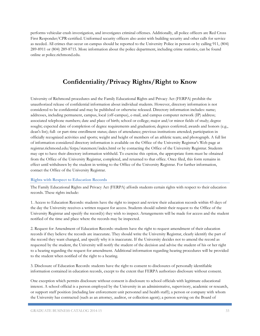performs vehicular crash investigation, and investigates criminal offenses. Additionally, all police officers are Red Cross First Responder/CPR-certified. Uniformed security officers also assist with building security and other calls for service as needed. All crimes that occur on campus should be reported to the University Police in person or by calling 911, (804) 289-8911 or (804) 289-8715. More information about the police department, including crime statistics, can be found online at police.richmond.edu.

# **Confidentiality/Privacy Rights/Right to Know**

University of Richmond procedures and the Family Educational Rights and Privacy Act (FERPA) prohibit the unauthorized release of confidential information about individual students. However, directory information is not considered to be confidential and may be published or otherwise released. Directory information includes: name; addresses, including permanent, campus, local (off-campus), e-mail, and campus computer network (IP) address; associated telephone numbers; date and place of birth; school or college; major and/or minor fields of study; degree sought; expected date of completion of degree requirements and graduation; degrees conferred; awards and honors (e.g., dean's list); full- or part-time enrollment status; dates of attendance; previous institutions attended; participation in officially recognized activities and sports; weight and height of members of an athletic team; and photograph. A full list of information considered directory information is available on the Office of the University Registrar's Web page at registrar.richmond.edu/ferpa/statement/index.html or by contacting the Office of the University Registrar. Students may opt to have their directory information withheld. To exercise this option, the appropriate form must be obtained from the Office of the University Registrar, completed, and returned to that office. Once filed, this form remains in effect until withdrawn by the student in writing to the Office of the University Registrar. For further information, contact the Office of the University Registrar.

# **Rights with Respect to Education Records**

The Family Educational Rights and Privacy Act (FERPA) affords students certain rights with respect to their education records. These rights include:

1. Access to Education Records: students have the right to inspect and review their education records within 45 days of the day the University receives a written request for access. Students should submit their request to the Office of the University Registrar and specify the record(s) they wish to inspect. Arrangements will be made for access and the student notified of the time and place where the records may be inspected.

2. Request for Amendment of Education Records: students have the right to request amendment of their education records if they believe the records are inaccurate. They should write the University Registrar, clearly identify the part of the record they want changed, and specify why it is inaccurate. If the University decides not to amend the record as requested by the student, the University will notify the student of the decision and advise the student of his or her right to a hearing regarding the request for amendment. Additional information regarding hearing procedures will be provided to the student when notified of the right to a hearing.

3. Disclosure of Education Records: students have the right to consent to disclosures of personally identifiable information contained in education records, except to the extent that FERPA authorizes disclosure without consent.

One exception which permits disclosure without consent is disclosure to school officials with legitimate educational interest. A school official is a person employed by the University in an administrative, supervisory, academic or research, or support staff position (including law enforcement unit personnel and health staff); a person or company with whom the University has contracted (such as an attorney, auditor, or collection agent); a person serving on the Board of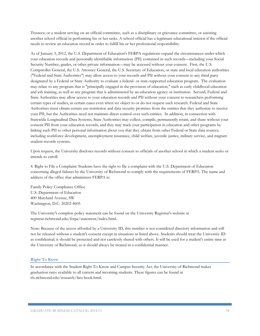Trustees; or a student serving on an official committee, such as a disciplinary or grievance committee, or assisting another school official in performing his or her tasks. A school official has a legitimate educational interest if the official needs to review an education record in order to fulfill his or her professional responsibility.

As of January 3, 2012, the U.S. Department of Education's FERPA regulations expand the circumstances under which your education records and personally identifiable information (PII) contained in such records—including your Social Security Number, grades, or other private information—may be accessed without your consent. First, the U.S. Comptroller General, the U.S. Attorney General, the U.S. Secretary of Education, or state and local education authorities ("Federal and State Authorities") may allow access to your records and PII without your consent to any third party designated by a Federal or State Authority to evaluate a federal- or state-supported education program. The evaluation may relate to any program that is "principally engaged in the provision of education," such as early childhood education and job training, as well as any program that is administered by an education agency or institution. Second, Federal and State Authorities may allow access to your education records and PII without your consent to researchers performing certain types of studies, in certain cases even when we object to or do not request such research. Federal and State Authorities must obtain certain use-restriction and data security promises from the entities that they authorize to receive your PII, but the Authorities need not maintain direct control over such entities. In addition, in connection with Statewide Longitudinal Data Systems, State Authorities may collect, compile, permanently retain, and share without your consent PII from your education records, and they may track your participation in education and other programs by linking such PII to other personal information about you that they obtain from other Federal or State data sources, including workforce development, unemployment insurance, child welfare, juvenile justice, military service, and migrant student records systems.

Upon request, the University discloses records without consent to officials of another school in which a student seeks or intends to enroll.

4. Right to File a Complaint: Students have the right to file a complaint with the U.S. Department of Education concerning alleged failures by the University of Richmond to comply with the requirements of FERPA. The name and address of the office that administers FERPA is:

Family Policy Compliance Office U.S. Department of Education 400 Maryland Avenue, SW Washington, D.C. 20202-4605

The University's complete policy statement can be found on the University Registrar's website at registrar.richmond.edu/ferpa/statement/index.html.

Note: Because of the access afforded by a University ID, this number is not considered directory information and will not be released without a student's consent except in situations as listed above. Students should treat the University ID as confidential; it should be protected and not carelessly shared with others. It will be used for a student's entire time at the University of Richmond, so it should always be treated in a confidential manner.

### **Right To Know**

In accordance with the Student Right To Know and Campus Security Act, the University of Richmond makes graduation rates available to all current and incoming students. These figures can be found at ifx.richmond.edu/research/fact-book.html.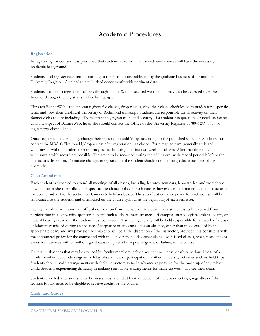# **Academic Procedures**

### **Registration**

In registering for courses, it is presumed that students enrolled in advanced-level courses will have the necessary academic background.

Students shall register each term according to the instructions published by the graduate business office and the University Registrar. A calendar is published concurrently with pertinent dates.

Students are able to register for classes through BannerWeb, a secured website that may also be accessed over the Internet through the Registrar's Office homepage.

Through BannerWeb, students can register for classes, drop classes, view their class schedules, view grades for a specific term, and view their unofficial University of Richmond transcript. Students are responsible for all activity on their BannerWeb account including PIN maintenance, registration, and security. If a student has questions or needs assistance with any aspect of BannerWeb, he or she should contact the Office of the University Registrar at (804) 289-8639 or registrar@richmond.edu.

Once registered, students may change their registration (add/drop) according to the published schedule. Students must contact the MBA Office to add/drop a class after registration has closed. For a regular term, generally adds and withdrawals without academic record may be made during the first two weeks of classes. After that time only withdrawals-with-record are possible. The grade to be recorded during the withdrawal-with-record period is left to the instructor's discretion. To initiate changes in registration, the student should contact the graduate business office promptly.

### **Class Attendance**

Each student is expected to attend all meetings of all classes, including lectures, seminars, laboratories, and workshops, in which he or she is enrolled. The specific attendance policy in each course, however, is determined by the instructor of the course, subject to the section on University holidays below. The specific attendance policy for each course will be announced to the students and distributed on the course syllabus at the beginning of each semester.

Faculty members will honor an official notification from the appropriate dean that a student is to be excused from participation in a University-sponsored event, such as choral performances off campus, intercollegiate athletic events, or judicial hearings at which the student must be present. A student generally will be held responsible for all work of a class or laboratory missed during an absence. Acceptance of any excuse for an absence, other than those excused by the appropriate dean, and any provision for makeup, will be at the discretion of the instructor, provided it is consistent with the announced policy for the course and with the University holiday schedule below. Missed classes, work, tests, and/or excessive absences with or without good cause may result in a poorer grade, or failure, in the course.

Generally, absences that may be excused by faculty members include accident or illness, death or serious illness of a family member, bona fide religious holiday observance, or participation in other University activities such as field trips. Students should make arrangements with their instructors as far in advance as possible for the make-up of any missed work. Students experiencing difficulty in making reasonable arrangements for make-up work may see their dean.

Students enrolled in business school courses must attend at least 75 percent of the class meetings, regardless of the reasons for absence, to be eligible to receive credit for the course.

# **Credit and Grades**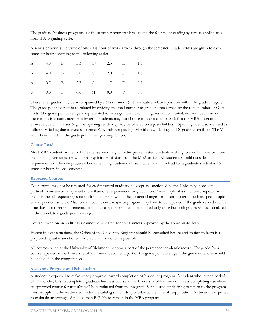The graduate business programs use the semester hour credit value and the four-point grading system as applied to a normal A-F grading scale.

A semester hour is the value of one class hour of work a week through the semester. Grade points are given to each semester hour according to the following scale:

|  |  |  | A+ 4.0 B+ 3.3 C+ 2.3 D+ 1.3 |  |
|--|--|--|-----------------------------|--|
|  |  |  | A 4.0 B 3.0 C 2.0 D 1.0     |  |
|  |  |  | A- 3.7 B- 2.7 C- 1.7 D- 0.7 |  |
|  |  |  | F 0.0 I 0.0 M 0.0 V 0.0     |  |

These letter grades may be accompanied by a  $(+)$  or minus  $(.)$  to indicate a relative position within the grade category. The grade point average is calculated by dividing the total number of grade points earned by the total number of GPA units. The grade point average is represented to two significant decimal figures and truncated, not rounded. Each of these totals is accumulated term by term. Students may not choose to take a class pass/fail in the MBA program. However, certain classes (e.g., the opening residency) may be offered on a pass/fail basis. Special grades also are used as follows: V-failing due to excess absence; W-withdrawn passing; M-withdrawn failing; and X-grade unavailable. The V and M count as F in the grade point average computation.

### **Course Load**

Most MBA students will enroll in either seven or eight credits per semester. Students wishing to enroll in nine or more credits in a given semester will need explicit permission from the MBA office. All students should consider requirements of their employers when scheduling academic classes. The maximum load for a graduate student is 16 semester hours in one semester.

#### **Repeated Courses**

Coursework may not be repeated for credit toward graduation except as sanctioned by the University; however, particular coursework may meet more than one requirement for graduation. An example of a sanctioned repeat-forcredit is the subsequent registration for a course in which the content changes from term to term, such as special topics or independent studies. Also, certain courses in a major or program may have to be repeated if the grade earned the first time does not meet requirements; in such a case, the credit will be counted only once but both grades will be calculated in the cumulative grade point average.

Courses taken on an audit basis cannot be repeated for credit unless approved by the appropriate dean.

Except in clear situations, the Office of the University Registrar should be consulted before registration to learn if a proposed repeat is sanctioned for credit or if sanction is possible.

All courses taken at the University of Richmond become a part of the permanent academic record. The grade for a course repeated at the University of Richmond becomes a part of the grade point average if the grade otherwise would be included in the computation.

### **Academic Progress and Scholarship**

A student is expected to make steady progress toward completion of his or her program. A student who, over a period of 12 months, fails to complete a graduate business course at the University of Richmond, unless completing elsewhere an approved course for transfer, will be terminated from the program. Such a student desiring to return to the program must reapply and be readmitted under the catalog standards applicable at the time of reapplication. A student is expected to maintain an average of no less than B (3.00) to remain in the MBA program.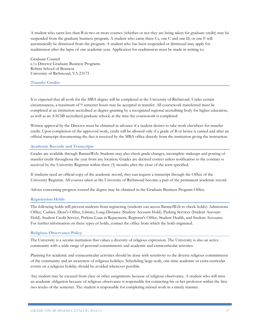A student who earns less than B in two or more courses (whether or not they are being taken for graduate credit) may be suspended from the graduate business program. A student who earns three Cs, one C and one D, or one F will automatically be dismissed from the program. A student who has been suspended or dismissed may apply for readmission after the lapse of one academic year. Application for readmission must be made in writing to:

Graduate Council c/o Director Graduate Business Programs Robins School of Business University of Richmond, VA 23173

### **Transfer Credits**

It is expected that all work for the MBA degree will be completed at the University of Richmond. Under certain circumstances, a maximum of 9 semester hours may be accepted in transfer. All coursework transferred must be completed at an institution accredited as degree-granting by a recognized regional accrediting body for higher education, as well as an AACSB accredited graduate school, at the time the coursework is completed.

Written approval by the Director must be obtained in advance if a student desires to take work elsewhere for transfer credit. Upon completion of the approved work, credit will be allowed only if a grade of B or better is earned and after an official transcript documenting the fact is received by the MBA office directly from the institution giving the instruction.

### **Academic Records and Transcripts**

Grades are available through BannerWeb. Students may also check grade changes, incomplete makeups and posting of transfer credit throughout the year from any location. Grades are deemed correct unless notification to the contrary is received by the University Registrar within three (3) months after the close of the term specified.

If students need an official copy of the academic record, they can request a transcript through the Office of the University Registrar. All courses taken at the University of Richmond become a part of the permanent academic record.

Advice concerning progress toward the degree may be obtained in the Graduate Business Program Office.

### **Registration Holds**

The following holds will prevent students from registering (students can access BannerWeb to check holds): Admissions Office, Cashier, Dean's Office, Library, Long-Distance (Student Account Hold), Parking Services (Student Account Hold), Student Credit Service, Perkins Loan in Repayment, Registrar's Office, Student Health, and Student Accounts. For further information on these types of holds, contact the office from which the hold originated.

### **Religious Observance Policy**

The University is a secular institution that values a diversity of religious expression. The University is also an active community with a wide range of personal commitments and academic and extracurricular activities.

Planning for academic and extracurricular activities should be done with sensitivity to the diverse religious commitments of the community and an awareness of religious holidays. Scheduling large-scale, one-time academic or extra-curricular events on a religious holiday should be avoided whenever possible.

Any student may be excused from class or other assignments because of religious observance. A student who will miss an academic obligation because of religious observance is responsible for contacting his or her professor within the first two weeks of the semester. The student is responsible for completing missed work in a timely manner.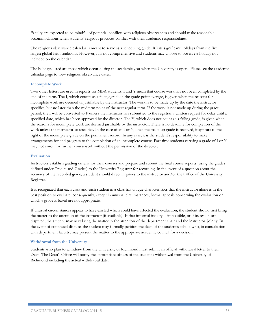Faculty are expected to be mindful of potential conflicts with religious observances and should make reasonable accommodations when students' religious practices conflict with their academic responsibilities.

The religious observance calendar is meant to serve as a scheduling guide. It lists significant holidays from the five largest global faith traditions. However, it is not comprehensive and students may choose to observe a holiday not included on the calendar.

The holidays listed are those which occur during the academic year when the University is open. Please see the academic calendar page to view religious observance dates.

### **Incomplete Work**

Two other letters are used in reports for MBA students. I and Y mean that course work has not been completed by the end of the term. The I, which counts as a failing grade in the grade point average, is given when the reasons for incomplete work are deemed unjustifiable by the instructor. The work is to be made up by the date the instructor specifies, but no later than the midterm point of the next regular term. If the work is not made up during the grace period, the I will be converted to F unless the instructor has submitted to the registrar a written request for delay until a specified date, which has been approved by the director. The Y, which does not count as a failing grade, is given when the reasons for incomplete work are deemed justifiable by the instructor. There is no deadline for completion of the work unless the instructor so specifies. In the case of an I or Y, once the make-up grade is received, it appears to the right of the incomplete grade on the permanent record. In any case, it is the student's responsibility to make arrangements for and progress to the completion of an incomplete course. Part-time students carrying a grade of I or Y may not enroll for further coursework without the permission of the director.

### **Evaluation**

Instructors establish grading criteria for their courses and prepare and submit the final course reports (using the grades defined under Credits and Grades) to the University Registrar for recording. In the event of a question about the accuracy of the recorded grade, a student should direct inquiries to the instructor and/or the Office of the University Registrar.

It is recognized that each class and each student in a class has unique characteristics that the instructor alone is in the best position to evaluate; consequently, except in unusual circumstances, formal appeals concerning the evaluation on which a grade is based are not appropriate.

If unusual circumstances appear to have existed which could have affected the evaluation, the student should first bring the matter to the attention of the instructor (if available). If that informal inquiry is impossible, or if its results are disputed, the student may next bring the matter to the attention of the department chair and the instructor, jointly. In the event of continued dispute, the student may formally petition the dean of the student's school who, in consultation with department faculty, may present the matter to the appropriate academic council for a decision.

### **Withdrawal from the University**

Students who plan to withdraw from the University of Richmond must submit an official withdrawal letter to their Dean. The Dean's Office will notify the appropriate offices of the student's withdrawal from the University of Richmond including the actual withdrawal date.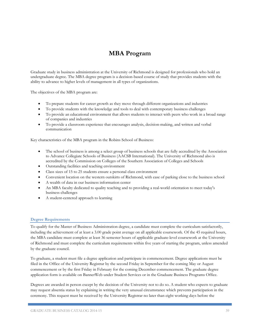# **MBA Program**

Graduate study in business administration at the University of Richmond is designed for professionals who hold an undergraduate degree. The MBA degree program is a decision-based course of study that provides students with the ability to advance to higher levels of management in all types of organizations.

The objectives of the MBA program are:

- To prepare students for career growth as they move through different organizations and industries
- To provide students with the knowledge and tools to deal with contemporary business challenges
- To provide an educational environment that allows students to interact with peers who work in a broad range of companies and industries
- To provide a classroom experience that encourages analysis, decision-making, and written and verbal communication

Key characteristics of the MBA program in the Robins School of Business:

- The school of business is among a select group of business schools that are fully accredited by the Association to Advance Collegiate Schools of Business (AACSB International). The University of Richmond also is accredited by the Commission on Colleges of the Southern Association of Colleges and Schools
- Outstanding facilities and teaching environment
- Class sizes of 15 to 25 students ensure a personal class environment
- Convenient location on the western outskirts of Richmond, with ease of parking close to the business school
- A wealth of data in our business information center
- An MBA faculty dedicated to quality teaching and to providing a real-world orientation to meet today's business challenges
- A student-centered approach to learning

### **Degree Requirements**

To qualify for the Master of Business Administration degree, a candidate must complete the curriculum satisfactorily, including the achievement of at least a 3.00 grade point average on all applicable coursework. Of the 45 required hours, the MBA candidate must complete at least 36 semester hours of applicable graduate-level coursework at the University of Richmond and must complete the curriculum requirements within five years of starting the program, unless amended by the graduate council.

To graduate, a student must file a degree application and participate in commencement. Degree applications must be filed in the Office of the University Registrar by the second Friday in September for the coming May or August commencement or by the first Friday in February for the coming December commencement. The graduate degree application form is available on BannerWeb under Student Services or in the Graduate Business Programs Office.

Degrees are awarded in person except by the decision of the University not to do so. A student who expects to graduate may request absentia status by explaining in writing the very unusual circumstance which prevents participation in the ceremony. This request must be received by the University Registrar no later than eight working days before the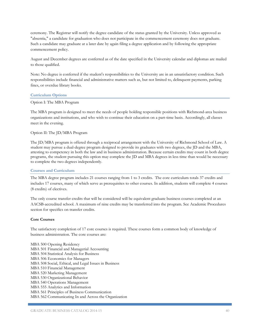ceremony. The Registrar will notify the degree candidate of the status granted by the University. Unless approved as "absentia," a candidate for graduation who does not participate in the commencement ceremony does not graduate. Such a candidate may graduate at a later date by again filing a degree application and by following the appropriate commencement policy.

August and December degrees are conferred as of the date specified in the University calendar and diplomas are mailed to those qualified.

Note: No degree is conferred if the student's responsibilities to the University are in an unsatisfactory condition. Such responsibilities include financial and administrative matters such as, but not limited to, delinquent payments, parking fines, or overdue library books.

### **Curriculum Options**

#### Option I: The MBA Program

The MBA program is designed to meet the needs of people holding responsible positions with Richmond-area business organizations and institutions, and who wish to continue their education on a part-time basis. Accordingly, all classes meet in the evening.

# Option II: The JD/MBA Program

The JD/MBA program is offered through a reciprocal arrangement with the University of Richmond School of Law. A student may pursue a dual-degree program designed to provide its graduates with two degrees, the JD and the MBA, attesting to competency in both the law and in business administration. Because certain credits may count in both degree programs, the student pursuing this option may complete the JD and MBA degrees in less time than would be necessary to complete the two degrees independently.

### **Courses and Curriculum**

The MBA degree program includes 21 courses ranging from 1 to 3 credits. The core curriculum totals 37 credits and includes 17 courses, many of which serve as prerequisites to other courses. In addition, students will complete 4 courses (8 credits) of electives.

The only course transfer credits that will be considered will be equivalent graduate business courses completed at an AACSB-accredited school. A maximum of nine credits may be transferred into the program. See Academic Procedures section for specifics on transfer credits.

#### **Core Courses**

The satisfactory completion of 17 core courses is required. These courses form a common body of knowledge of business administration. The core courses are:

MBA 500 Opening Residency MBA 501 Financial and Managerial Accounting MBA 504 Statistical Analysis for Business MBA 506 Economics for Managers MBA 508 Social, Ethical, and Legal Issues in Business MBA 510 Financial Management MBA 520 Marketing Management MBA 530 Organizational Behavior MBA 540 Operations Management MBA 555 Analytics and Information MBA 561 Principles of Business Communication MBA 562 Communicating In and Across the Organization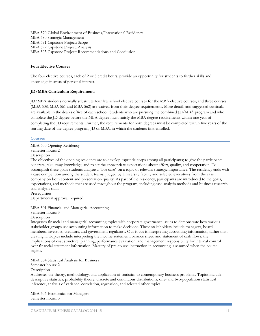MBA 570 Global Environment of Business/International Residency MBA 580 Strategic Management MBA 591 Capstone Project: Scope MBA 592 Capstone Project: Analysis MBA 593 Capstone Project: Recommendations and Conclusion

# **Four Elective Courses**

The four elective courses, each of 2 or 3 credit hours, provide an opportunity for students to further skills and knowledge in areas of personal interest.

# **JD/MBA Curriculum Requirements**

JD/MBA students normally substitute four law school elective courses for the MBA elective courses, and three courses (MBA 508, MBA 561 and MBA 562) are waived from their degree requirements. More details and suggested curricula are available in the dean's office of each school. Students who are pursuing the combined JD/MBA program and who complete the JD degree before the MBA degree must satisfy the MBA degree requirements within one year of completing the JD requirements. Further, the requirements for both degrees must be completed within five years of the starting date of the degree program, JD or MBA, in which the students first enrolled.

### **Courses**

MBA 500 Opening Residency Semester hours: 2 Description The objectives of the opening residency are to develop esprit de corps among all participants; to give the participants concrete, take-away knowledge; and to set the appropriate expectations about effort, quality, and cooperation. To accomplish these goals students analyze a "live case" on a topic of relevant strategic importance. The residency ends with a case competition among the student teams, judged by University faculty and selected executives from the case company on both content and presentation quality. As part of the residency, participants are introduced to the goals, expectations, and methods that are used throughout the program, including case analysis methods and business research and analysis skills **Prerequisites** 

Departmental approval required.

MBA 501 Financial and Managerial Accounting

Semester hours: 3

Description

Integrates financial and managerial accounting topics with corporate governance issues to demonstrate how various stakeholder groups use accounting information to make decisions. These stakeholders include managers, board members, investors, creditors, and government regulators. Our focus is interpreting accounting information, rather than creating it. Topics include interpreting the income statement, balance sheet, and statement of cash flows, the implications of cost structure, planning, performance evaluation, and management responsibility for internal control over financial statement information. Mastery of pre-course instruction in accounting is assumed when the course begins.

MBA 504 Statistical Analysis for Business

Semester hours: 2

**Description** 

Addresses the theory, methodology, and application of statistics to contemporary business problems. Topics include descriptive statistics, probability theory, discrete and continuous distributions, one- and two-population statistical inference, analysis of variance, correlation, regression, and selected other topics.

MBA 506 Economics for Managers Semester hours: 3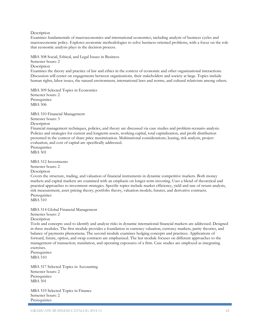Description

Examines fundamentals of macroeconomics and international economics, including analysis of business cycles and macroeconomic policy. Explores economic methodologies to solve business-oriented problems, with a focus on the role that economic analysis plays in the decision process.

MBA 508 Social, Ethical, and Legal Issues in Business Semester hours: 2 **Description** Examines the theory and practice of law and ethics in the context of economic and other organizational interactions. Discussion will center on engagements between organizations, their stakeholders and society at large. Topics include human rights, labor issues, the natural environment, international laws and norms, and cultural relativism among others.

MBA 509 Selected Topics in Economics Semester hours: 2 **Prerequisites** MBA 506

MBA 510 Financial Management Semester hours: 3 Description Financial management techniques, policies, and theory are discussed via case studies and problem-scenario analysis. Policies and strategies for current and longterm assets, working capital, total capitalization, and profit distribution presented in the context of share price maximization. Multinational considerations, leasing, risk analysis, project evaluation, and cost of capital are specifically addressed. Prerequisites MBA 501

MBA 512 Investments Semester hours: 2 Description

Covers the structure, trading, and valuation of financial instruments in dynamic competitive markets. Both money markets and capital markets are examined with an emphasis on longer-term investing. Uses a blend of theoretical and practical approaches to investment strategies. Specific topics include market efficiency, yield and rate of return analysis, risk measurement, asset pricing theory, portfolio theory, valuation models, futures, and derivative contracts. Prerequisites MBA 510

MBA 514 Global Financial Management

Semester hours: 2

Description

Tools and concepts used to identify and analyze risks in dynamic international financial markets are addressed. Designed in three modules. The first module provides a foundation in currency valuation, currency markets, parity theories, and balance of payments phenomena. The second module examines hedging concepts and practices. Applications of forward, future, option, and swap contracts are emphasized. The last module focuses on different approaches to the management of transaction, translation, and operating exposures of a firm. Case studies are employed as integrating exercises.

Prerequisites MBA 510

MBA 517 Selected Topics in Accounting Semester hours: 2 **Prerequisites** MBA 501

MBA 519 Selected Topics in Finance Semester hours: 2 Prerequisites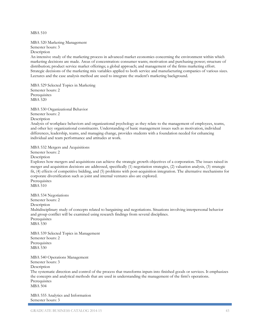MBA 510

MBA 520 Marketing Management Semester hours: 3 Description

An intensive study of the marketing process in advanced market economies concerning the environment within which marketing decisions are made. Areas of concentration: consumer wants; motivation and purchasing power; structure of distribution; product service market offerings; a global approach; and management of the firms marketing effort. Strategic decisions of the marketing mix variables applied to both service and manufacturing companies of various sizes. Lectures and the case analysis method are used to integrate the student's marketing background.

MBA 529 Selected Topics in Marketing Semester hours: 2 **Prerequisites** MBA 520

MBA 530 Organizational Behavior Semester hours: 2

Description

Analysis of workplace behaviors and organizational psychology as they relate to the management of employees, teams, and other key organizational constituents. Understanding of basic management issues such as motivation, individual differences, leadership, teams, and managing change, provides students with a foundation needed for enhancing individual and team performance and attitudes at work.

MBA 532 Mergers and Acquisitions

Semester hours: 2

**Description** 

Explores how mergers and acquisitions can achieve the strategic growth objectives of a corporation. The issues raised in merger and acquisition decisions are addressed, specifically (1) negotiation strategies, (2) valuation analysis, (3) strategic fit, (4) effects of competitive bidding, and (5) problems with post-acquisition integration. The alternative mechanisms for corporate diversification such as joint and internal ventures also are explored. **Prerequisites** MBA 510

MBA 534 Negotiations Semester hours: 2 Description Multidisciplinary study of concepts related to bargaining and negotiations. Situations involving interpersonal behavior and group conflict will be examined using research findings from several disciplines. **Prerequisites** MBA 530

MBA 539 Selected Topics in Management Semester hours: 2 Prerequisites MBA 530

MBA 540 Operations Management Semester hours: 3 Description The systematic direction and control of the process that transforms inputs into finished goods or services. It emphasizes the concepts and analytical methods that are used in understanding the management of the firm's operations. **Prerequisites** MBA 504

MBA 555 Analytics and Information Semester hours: 3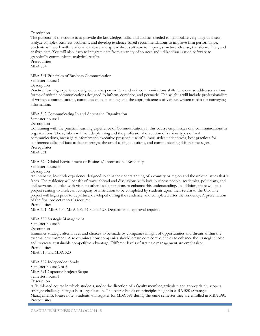### Description

The purpose of the course is to provide the knowledge, skills, and abilities needed to manipulate very large data sets, analyze complex business problems, and develop evidence-based recommendations to improve firm performance. Students will work with relational database and spreadsheet software to import, structure, cleanse, transform, filter, and analyze data. You will also learn to integrate data from a variety of sources and utilize visualization software to graphically communicate analytical results.

**Prerequisites** MBA 504

MBA 561 Principles of Business Communication

Semester hours: 1

**Description** 

Practical learning experience designed to sharpen written and oral communications skills. The course addresses various forms of written communications designed to inform, convince, and persuade. The syllabus will include professionalism of written communications, communications planning, and the appropriateness of various written media for conveying information.

MBA 562 Communicating In and Across the Organization

Semester hours: 1

Description

Continuing with the practical learning experience of Communications I, this course emphasizes oral communications in organizations. The syllabus will include planning and the professional execution of various types of oral communications, message reinforcement, executive presence, use of humor, styles under stress, best practices for conference calls and face-to-face meetings, the art of asking questions, and communicating difficult messages. Prerequisites MBA 561

MBA 570 Global Environment of Business/ International Residency

Semester hours: 3

**Description** 

An intensive, in-depth experience designed to enhance understanding of a country or region and the unique issues that it faces. The residency will consist of travel abroad and discussions with local business people, academics, politicians, and civil servants, coupled with visits to other local operations to enhance this understanding. In addition, there will be a project relating to a relevant company or institution to be completed by students upon their return to the U.S. The project will begin prior to departure, developed during the residency, and completed after the residency. A presentation of the final project report is required.

Prerequisites

MBA 501, MBA 504, MBA 506, 510, and 520. Departmental approval required.

MBA 580 Strategic Management Semester hours: 3 Description

Examines strategic alternatives and choices to be made by companies in light of opportunities and threats within the external environment. Also examines how companies should create core competencies to enhance the strategic choice and to create sustainable competitive advantage. Different levels of strategic management are emphasized. Prerequisites

MBA 510 and MBA 520

MBA 587 Independent Study Semester hours: 2 or 3 MBA 591 Capstone Project: Scope Semester hours: 1 **Description** 

A field-based course in which students, under the direction of a faculty member, articulate and appropriately scope a strategic challenge facing a host organization. The course builds on principles taught in MBA 580 (Strategic Management). Please note: Students will register for MBA 591 during the same semester they are enrolled in MBA 580. Prerequisites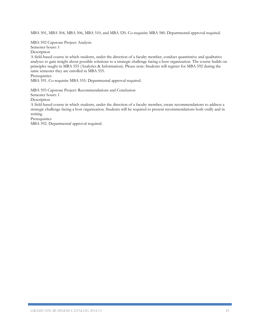MBA 501, MBA 504, MBA 506, MBA 510, and MBA 520. Co-requisite MBA 580. Departmental approval required.

MBA 592 Capstone Project: Analysis

Semester hours: 1

Description

A field-based course in which students, under the direction of a faculty member, conduct quantitative and qualitative analyses to gain insight about possible solutions to a strategic challenge facing a host organization. The course builds on principles taught in MBA 555 (Analytics & Information). Please note: Students will register for MBA 592 during the same semester they are enrolled in MBA 555.

**Prerequisites** 

MBA 591. Co-requisite MBA 555. Departmental approval required.

MBA 593 Capstone Project: Recommendations and Conclusion Semester hours: 1

**Description** 

A field-based course in which students, under the direction of a faculty member, create recommendations to address a strategic challenge facing a host organization. Students will be required to present recommendations both orally and in writing.

Prerequisites

MBA 592. Departmental approval required.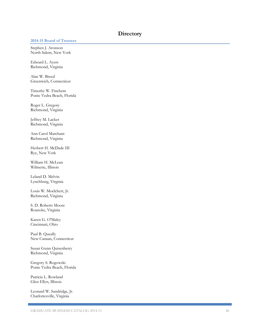# **Directory**

### **2014 -15 Board of Trustees**

Stephen J. Aronson North Salem, New York

Edward L. Ayers Richmond, Virginia

Alan W. Bree d Greenwich, Connecticut

Timothy W. Finchem Ponte Vedra Beach, Florida

Roger L. Gregory Richmond, Virginia

Jeffrey M. Lacker Richmond, Virginia

Ann Carol Marchant Richmond, Virginia

Herbert H. McDade III Rye, New York

William H. McLean Wilmette, Illinois

Leland D. Melvin Lynchburg, Virginia

Louis W. Moelchert, Jr. Richmond, Virginia

S. D. Roberts Moore Roanoke, Virginia

Karen G. O'Maley Cincinnati, Ohio

Paul B. Queally New Canaan, Connecticut

Susan Gunn Quisenberry Richmond, Virginia

Gregory S. Rogowski Ponte Vedra Beach, Florida

Patricia L. Rowland Glen Ellyn, Illinois

Leonard W. Sandridge, Jr. Charlottesville, Virginia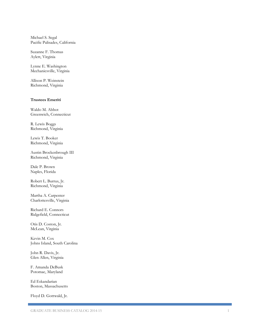Michael S. Segal Pacific Palisades, California

Suzanne F. Thomas Aylett, Virginia

Lynne E. Washington Mechanicsville, Virginia

Allison P. Weinstein Richmond, Virginia

### **Trustees Emeriti**

Waldo M. Abbot Greenwich, Connecticut

R. Lewis Boggs Richmond, Virginia

Lewis T. Booker Richmond, Virginia

Austin Brockenbrough III Richmond, Virginia

Dale P. Brown Naples, Florida

Robert L. Burrus, Jr. Richmond, Virginia

Martha A. Carpenter Charlottesville, Virginia

Richard E. Connors Ridgefield, Connecticut

Otis D. Coston, Jr. McLean, Virginia

Kevin M. Cox Johns Island, South Carolina

John R. Davis, Jr. Glen Allen, Virginia

F. Amanda DeBusk Potomac, Maryland

Ed Eskandarian Boston, Massachusetts

Floyd D. Gottwald, Jr.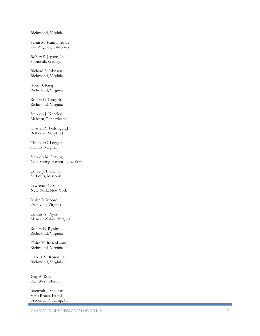# Richmond, Virginia

Susan M. Humphreville Los Angeles, California

Robert S. Jepson, Jr. Savannah, Georgia

Richard S. Johnson Richmond, Virginia

Allen B. King Richmond, Virginia

Robert C. King, Sr. Richmond, Virginia

Stephen J. Kneeley Malvern, Pennsylvania

Charles A. Ledsinger, Jr. Bethesda, Maryland

Thomas C. Leggett Halifax, Virginia

Stephen M. Lessing Cold Spring Harbor, New York

Daniel J. Ludeman St. Louis, Missouri

Lawrence C. Marsh New York, New York

Janice R. Moore Deltaville, Virginia

Dennis A. Pryor Manakin -Sabot, Virginia

Robert E. Rigsby Richmond, Virginia

Claire M. Rosenbaum Richmond, Virginia

Gilbert M. Rosenthal Richmond, Virginia

Guy A. Ross Key West, Florida

Jeremiah J. Sheehan Vero Beach, Florida Frederick P. Stamp, Jr.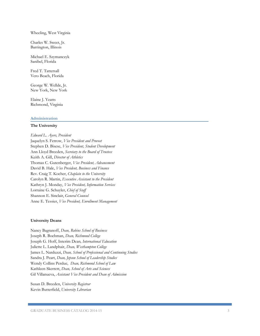### Wheeling, West Virginia

Charles W. Sweet, Jr. Barrington, Illinois

Michael E. Szymanczyk Sanibel, Florida

Fred T. Tattersall Vero Beach, Florida

George W. Wellde, Jr. New York, New York

Elaine J. Yeatts Richmond, Virginia

### **Administration**

### **The University**

*Edward L. Ayers, President* Jaquelyn S. Fetrow, *Vice President and Provost* Stephen D. Bisese, *Vice President, Student Development* Ann Lloyd Breeden, *Secretary to the Board of Trustees* Keith A. Gill, *Director of Athletics* Thomas C. Gutenberger, *Vice President, Advancement* David B. Hale, *Vice President, Business and Finance* Rev. Craig T. Kocher, *Chaplain to the University* Carolyn R. Martin, *Executive Assistant to the President* Kathryn J. Monday, *Vice President, Information Services* Lorraine G. Schuyler, *Chief of Staff* Shannon E. Sinclair, *General Counsel* Anne E. Tessier, *Vice President, Enrollment Management*

### **University Deans**

Nancy Bagranoff, *Dean, Robins School of Business* Joseph R. Boehman, *Dean, Richmond College* Joseph G. Hoff, Interim Dean*, International Education* Juliette L. Landphair, *Dean, Westhampton College* James L. Narduzzi, *Dean, School of Professional and Continuing Studies* Sandra J. Peart, *Dean, Jepson School of Leadership Studies* Wendy Collins Perdue, *Dean, Richmond School of Law* Kathleen Skerrett, *Dean, School of Arts and Sciences* Gil Villanueva, *Assistant Vice President and Dean of Admission*

Susan D. Breeden, *University Registrar* Kevin Butterfield, *University Librarian*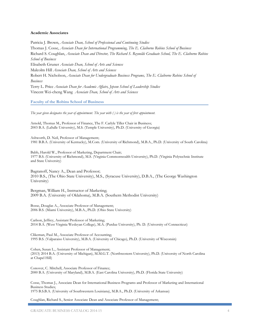#### **Academic Associates**

Patricia J. Brown, *Associate Dean, School of Professional and Continuing Studies* Thomas J. Cosse, *Associate Dean for International Programming, The E. Claiborne Robins School of Business* Richard S. Coughlan, *Associate Dean and Director, The Richard S. Reynolds Graduate School, The E. Claiborne Robins School of Business* Elisabeth Gruner *Associate Dean, School of Arts and Sciences* Malcolm Hill *Associate Dean, School of Arts and Sciences* Robert H. Nicholson, *Associate Dean for Undergraduate Business Programs, The E. Claiborne Robins School of Business* Terry L. Price *Associate Dean for Academic Affairs, Jepson School of Leadership Studies* Vincent Wei-cheng Wang *Associate Dean, School of Arts and Sciences*

**Faculty of the Robins School of Business**

*The year given designates the year of appointment. The year with ( ) is the year of first appointment.*

Arnold, Thomas M., Professor of Finance, The F. Carlyle Tiller Chair in Business; 2003 B.A. (LaSalle University), M.S. (Temple University), Ph.D. (University of Georgia)

Ashworth, D. Neil, Professor of Management; 1981 B.B.A. (University of Kentucky), M.Com. (University of Richmond), M.B.A., Ph.D. (University of South Carolina)

Babb, Harold W., Professor of Marketing, Department Chair; 1977 B.S. (University of Richmond), M.S. (Virginia Commonwealth University), Ph.D. (Virginia Polytechnic Institute and State University)

Bagranoff, Nancy A., Dean and Professor; 2010 B.S., (The Ohio State University), M.S., (Syracuse University), D.B.A., (The George Washington University)

Bergman, William H., Instructor of Marketing; 2009 B.A. (University of Oklahoma), M.B.A. (Southern Methodist University)

Bosse, Douglas A., Associate Professor of Management; 2006 B.S. (Miami University), M.B.A., Ph.D. (Ohio State University)

Carlson, Jeffrey, Assistant Professor of Marketing; 2014 B.A. (West Virginia Wesleyan College), M.A. (Purdue University), Ph. D. (University of Connecticut)

Clikeman, Paul M., Associate Professor of Accounting; 1995 B.S. (Valparaiso University), M.B.A. (University of Chicago), Ph.D. (University of Wisconsin)

Cohen, Susan L., Assistant Professor of Management; (2013) 2014 B.A. (University of Michigan), M.M.G.T. (Northwestern University), Ph.D. (University of North Carolina at Chapel Hill)

Conover, C. Mitchell, Associate Professor of Finance; 2000 B.A. (University of Maryland), M.B.A. (East Carolina University), Ph.D. (Florida State University)

Cosse, Thomas J., Associate Dean for International Business Programs and Professor of Marketing and International Business Studies; 1975 B.S.B.A. (University of Southwestern Louisiana), M.B.A., Ph.D. (University of Arkansas)

Coughlan, Richard S., Senior Associate Dean and Associate Professor of Management;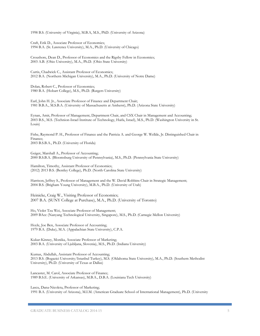1998 B.S. (University of Virginia), M.B.A, M.S., PhD. (University of Arizona)

Craft, Erik D., Associate Professor of Economics; 1994 B.A. (St. Lawrence University), M.A., Ph.D. (University of Chicago)

Croushore, Dean D., Professor of Economics and the Rigsby Fellow in Economics; 2003 A.B. (Ohio University), M.A., Ph.D. (Ohio State University)

Curtis, Chadwick C., Assistant Professor of Economics; 2012 B.A. (Northern Michigan University), M.A., Ph.D. (University of Notre Dame)

Dolan, Robert C., Professor of Economics; 1980 B.A. (Hobart College), M.S., Ph.D. (Rutgers University)

Earl, John H. Jr., Associate Professor of Finance and Department Chair; 1981 B.B.A., M.S.B.A. (University of Massachusetts at Amherst), Ph.D. (Arizona State University)

Eynan, Amit, Professor of Management, Department Chair, and CSX Chair in Management and Accounting; 2003 B.S., M.S. (Technion-Israel Institute of Technology, Haifa, Israel), M.S., Ph.D. (Washington University in St. Louis)

Fishe, Raymond P. H., Professor of Finance and the Patricia A. and George W. Wellde, Jr. Distinguished Chair in Finance; 2003 B.S.B.A., Ph.D. (University of Florida)

Geiger, Marshall A., Professor of Accounting; 2000 B.S.B.A. (Bloomsburg University of Pennsylvania), M.S., Ph.D. (Pennsylvania State University)

Hamilton, Timothy, Assistant Professor of Economics; (2012) 2013 B.S. (Bentley College), Ph.D. (North Carolina State University)

Harrison, Jeffrey S., Professor of Management and the W. David Robbins Chair in Strategic Management; 2004 B.S. (Brigham Young University), M.B.A., Ph.D. (University of Utah)

Heinicke, Craig W., Visiting Professor of Economics; 2007 B.A. (SUNY College at Purchase), M.A., Ph.D. (University of Toronto)

Ho, Violet Tzu Wei, Associate Professor of Management; 2009 BAcc (Nanyang Technological University, Singapore), M.S., Ph.D. (Carnegie Mellon University)

Hoyle, Joe Ben, Associate Professor of Accounting; 1979 B.A. (Duke), M.A. (Appalachian State University), C.P.A.

Kukar-Kinney, Monika, Associate Professor of Marketing; 2003 B.A. (University of Ljubljana, Slovenia), M.S., Ph.D. (Indiana University)

Kumas, Abdullah, Assistant Professor of Accounting; 2013 B.S. (Bogazici University/Istanbul Turkey), M.S. (Oklahoma State University), M.A., Ph.D. (Southern Methodist University), Ph.D. (University of Texas at Dallas)

Lancaster, M. Carol, Associate Professor of Finance; 1989 B.S.E. (University of Arkansas), M.B.A., D.B.A. (Louisiana Tech University)

Lascu, Dana-Nicoleta, Professor of Marketing; 1991 B.A. (University of Arizona), M.I.M. (American Graduate School of International Management), Ph.D. (University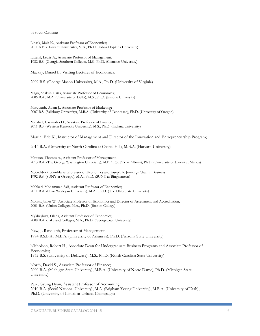of South Carolina)

Linask, Maia K., Assistant Professor of Economics; 2011 A.B. (Harvard University), M.A., Ph.D. (Johns Hopkins University)

Litteral, Lewis A., Associate Professor of Management; 1982 B.S. (Georgia Southern College), M.S., Ph.D. (Clemson University)

Mackay, Daniel L., Visiting Lecturer of Economics;

2009 B.S. (George Mason University), M.A., Ph.D. (University of Virginia)

Mago, Shakun Datta, Associate Professor of Economics; 2006 B.A., M.A. (University of Delhi), M.S., Ph.D. (Purdue University)

Marquardt, Adam J., Associate Professor of Marketing; 2007 B.S. (Salisbury University), M.B.A. (University of Tennessee), Ph.D. (University of Oregon)

Marshall, Cassandra D., Assistant Professor of Finance; 2011 B.S. (Western Kentucky University), M.S., Ph.D. (Indiana University)

Martin, Eric K., Instructor of Management and Director of the Innovation and Entrepreneurship Program;

2014 B.A. (University of North Carolina at Chapel Hill), M.B.A. (Harvard University)

Mattson, Thomas A., Assistant Professor of Management; 2013 B.A. (The George Washington University), M.B.A. (SUNY at Albany), Ph.D. (University of Hawaii at Manoa)

McGoldrick, KimMarie, Professor of Economics and Joseph A. Jennings Chair in Business; 1992 B.S. (SUNY at Oswego), M.A., Ph.D. (SUNY at Binghamton)

Mehkari, Mohammad Saif, Assistant Professor of Economics; 2011 B.A. (Ohio Wesleyan University), M.A., Ph.D. (The Ohio State University)

Monks, James W., Associate Professor of Economics and Director of Assessment and Accreditation; 2001 B.A. (Union College), M.A., Ph.D. (Boston College)

Mykhaylova, Olena, Assistant Professor of Economics; 2008 B.A. (Lakeland College), M.A., Ph.D. (Georgetown University)

New, J. Randolph, Professor of Management; 1994 B.S.B.A., M.B.A. (University of Arkansas), Ph.D. (Arizona State University)

Nicholson, Robert H., Associate Dean for Undergraduate Business Programs and Associate Professor of Economics; 1972 B.S. (University of Delaware), M.S., Ph.D. (North Carolina State University)

North, David S., Associate Professor of Finance; 2000 B.A. (Michigan State University), M.B.A. (University of Notre Dame), Ph.D. (Michigan State University)

Paik, Gyung Hyun, Assistant Professor of Accounting; 2010 B.A. (Seoul National University), M.A. (Brigham Young University), M.B.A. (University of Utah), Ph.D. (University of Illinois at Urbana-Champaign)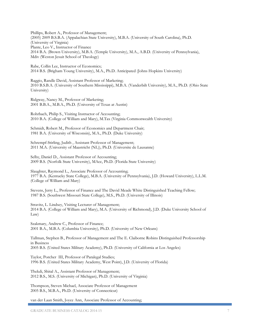Phillips, Robert A., Professor of Management; (2005) 2009 B.S.B.A. (Appalachian State University), M.B.A. (University of South Carolina), Ph.D. (University of Virginia) Plante, Leo V., Instructor of Finance 2014 B.A. (Brown University), M.B.A. (Temple University), M.A., A.B.D. (University of Pennsylvania), Mdiv (Weston Jesuit School of Theology)

Rabe, Collin Lee, Instructor of Economics; 2014 B.S. (Brigham Young University), M.A., Ph.D. Anticipated (Johns Hopkins University)

Raggio, Randle David, Assistant Professor of Marketing; 2010 B.S.B.A. (University of Southern Mississippi), M.B.A. (Vanderbilt University), M.A., Ph.D. (Ohio State University)

Ridgway, Nancy M., Professor of Marketing; 2001 B.B.A., M.B.A., Ph.D. (University of Texas at Austin)

Rohrbach, Philip S., Visiting Instructor of Accounting; 2010 B.A. (College of William and Mary), M.Tax (Virginia Commonwealth University)

Schmidt, Robert M., Professor of Economics and Department Chair; 1981 B.A. (University of Wisconsin), M.A., Ph.D. (Duke University)

Schrempf-Stirling, Judith , Assistant Professor of Management; 2011 M.A. (University of Maastricht (NL)), Ph.D. (Universite de Lausanne)

Selby, Daniel D., Assistant Professor of Accounting; 2009 B.S. (Norfolk State University), MAcc, Ph.D. (Florida State University)

Slaughter, Raymond L., Associate Professor of Accounting; 1977 B.A. (Kentucky State College), M.B.A. (University of Pennsylvania), J.D. (Howard University), L.L.M. (College of William and Mary)

Stevens, Jerry L., Professor of Finance and The David Meade White Distinguished Teaching Fellow; 1987 B.S. (Southwest Missouri State College), M.S., Ph.D. (University of Illinois)

Stravitz, L. Lindsey, Visiting Lecturer of Management; 2014 B.A. (College of William and Mary), M.A. (University of Richmond), J.D. (Duke University School of Law)

Szakmary, Andrew C., Professor of Finance; 2001 B.A., M.B.A. (Columbia University), Ph.D. (University of New Orleans)

Tallman, Stephen B., Professor of Management and The E. Claiborne Robins Distinguished Professorship in Business 2005 B.S. (United States Military Academy), Ph.D. (University of California at Los Angeles)

Taylor, Porcher III, Professor of Paralegal Studies; 1996 B.S. (United States Military Academy, West Point), J.D. (University of Florida)

Thekdi, Shital A., Assistant Professor of Management; 2012 B.S., M.S. (University of Michigan), Ph.D. (University of Virginia)

Thompson, Steven Michael, Associate Professor of Management 2005 B.S., M.B.A., Ph.D. (University of Connecticut)

van der Laan Smith, Joyce Ann, Associate Professor of Accounting;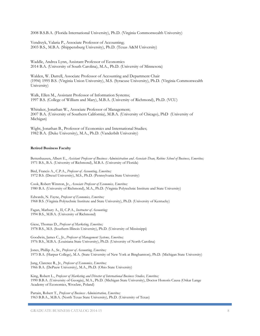2008 B.S.B.A. (Florida International University), Ph.D. (Virginia Commonwealth University)

Vendrzyk, Valaria P., Associate Professor of Accounting; 2003 B.S., M.B.A. (Shippensburg University), Ph.D. (Texas A&M University)

Waddle, Andrea Lynn, Assistant Professor of Economics 2014 B.A. (University of South Carolina), M.A., Ph.D. (University of Minnesota)

Walden, W. Darrell, Associate Professor of Accounting and Department Chair (1994) 1995 B.S. (Virginia Union University), M.S. (Syracuse University), Ph.D. (Virginia Commonwealth University)

Walk, Ellen M., Assistant Professor of Information Systems; 1997 B.S. (College of William and Mary), M.B.A. (University of Richmond), Ph.D. (VCU)

Whitaker, Jonathan W., Associate Professor of Management; 2007 B.A. (University of Southern California), M.B.A. (University of Chicago), PhD (University of Michigan)

Wight, Jonathan B., Professor of Economics and International Studies; 1982 B.A. (Duke University), M.A., Ph.D. (Vanderbilt University)

#### **Retired Business Faculty**

Bettenhausen, Albert E., *Assistant Professor of Business Administration and Associate Dean, Robins School of Business, Emeritus;* 1971 B.S., B.A. (University of Richmond), M.B.A. (University of Florida)

Bird, Francis A., C.P.A., *Professor of Accounting, Emeritus;* 1972 B.S. (Drexel University), M.S., Ph.D. (Pennsylvania State University)

Cook, Robert Winston, Jr., *Associate Professor of Economics, Emeritus;* 1980 B.A. (University of Richmond), M.A., Ph.D. (Virginia Polytechnic Institute and State University)

Edwards, N. Fayne, *Professor of Economics, Emeritus;* 1968 B.S. (Virginia Polytechnic Institute and State University), Ph.D. (University of Kentucky)

Fagan, Marbury A., II, C.P.A., *Instructor of Accounting;* 1994 B.S., M.B.A. (University of Richmond)

Giese, Thomas D., *Professor of Marketing, Emeritus;* 1978 B.S., M.S. (Southern Illinois University), Ph.D. (University of Mississippi)

Goodwin, James C., Jr., *Professor of Management Systems, Emeritus;* 1976 B.S., M.B.A. (Louisiana State University), Ph.D. (University of North Carolina)

Jones, Phillip A., Sr., *Professor of Accounting, Emeritus;* 1973 B.A. (Harpur College), M.A. (State University of New York at Binghamton), Ph.D. (Michigan State University)

Jung, Clarence R., Jr., *Professor of Economics, Emeritus;* 1966 B.A. (DePauw University), M.A., Ph.D. (Ohio State University)

King, Robert L., *Professor of Marketing and Director of International Business Studies, Emeritus;* 1990 B.B.A. (University of Georgia), M.A., Ph.D. (Michigan State University), Doctor Honoris Causa (Oskar Lange Academy of Economics, Wroclaw, Poland)

Partain, Robert T., *Professor of Business Administration, Emeritus;* 1963 B.B.A., M.B.A. (North Texas State University), Ph.D. (University of Texas)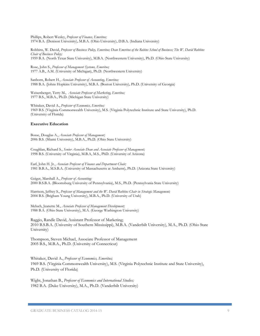Phillips, Robert Wesley, *Professor of Finance, Emeritus;* 1974 B.A. (Denison University), M.B.A. (Ohio University), D.B.A. (Indiana University)

Robbins, W. David, *Professor of Business Policy, Emeritus; Dean Emeritus of the Robins School of Business; The W. David Robbins Chair of Business Policy;* 1959 B.A. (North Texas State University), M.B.A. (Northwestern University), Ph.D. (Ohio State University)

Rose, John S., *Professor of Management Systems, Emeritus;* 1977 A.B., A.M. (University of Michigan), Ph.D. (Northwestern University)

Sanborn, Robert H., *Associate Professor of Accounting, Emeritus;* 1988 B.A. (Johns Hopkins University), M.B.A. (Boston University), Ph.D. (University of Georgia)

Weisenberger, Terry M., *Associate Professor of Marketing, Emeritus;* 1977 B.S., M.B.A., Ph.D. (Michigan State University)

Whitaker, David A., *Professor of Economics, Emeritus;* 1969 B.S. (Virginia Commonwealth University), M.S. (Virginia Polytechnic Institute and State University), Ph.D. (University of Florida)

### **Executive Education**

Bosse, Douglas A., *Associate Professor of Management;* 2006 B.S. (Miami University), M.B.A., Ph.D. (Ohio State University)

Coughlan, Richard S., *Senior Associate Dean and Associate Professor of Management;*  1998 B.S. (University of Virginia), M.B.A, M.S., PhD. (University of Arizona)

Earl, John H. Jr., *Associate Professor of Finance and Department Chair;* 1981 B.B.A., M.S.B.A. (University of Massachusetts at Amherst), Ph.D. (Arizona State University)

Geiger, Marshall A., *Professor of Accounting;* 2000 B.S.B.A. (Bloomsburg University of Pennsylvania), M.S., Ph.D. (Pennsylvania State University)

Harrison, Jeffrey S., *Professor of Management and the W. David Robbins Chair in Strategic Management;* 2004 B.S. (Brigham Young University), M.B.A., Ph.D. (University of Utah)

Meluch, Jeanette M., *Associate Professor of Management Development;* 1988 B.A. (Ohio State University), M.A. (George Washington University)

Raggio, Randle David, Assistant Professor of Marketing; 2010 B.S.B.A. (University of Southern Mississippi), M.B.A. (Vanderbilt University), M.A., Ph.D. (Ohio State University)

Thompson, Steven Michael, Associate Professor of Management 2005 B.S., M.B.A., Ph.D. (University of Connecticut)

Whitaker, David A., *Professor of Economics, Emeritus;* 1969 B.S. (Virginia Commonwealth University), M.S. (Virginia Polytechnic Institute and State University), Ph.D. (University of Florida)

Wight, Jonathan B., *Professor of Economics and International Studies;* 1982 B.A. (Duke University), M.A., Ph.D. (Vanderbilt University)